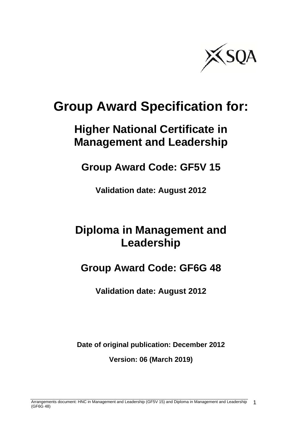

# **Group Award Specification for:**

# **Higher National Certificate in Management and Leadership**

**Group Award Code: GF5V 15** 

**Validation date: August 2012** 

# **Diploma in Management and Leadership**

**Group Award Code: GF6G 48** 

**Validation date: August 2012** 

**Date of original publication: December 2012** 

**Version: 06 (March 2019)**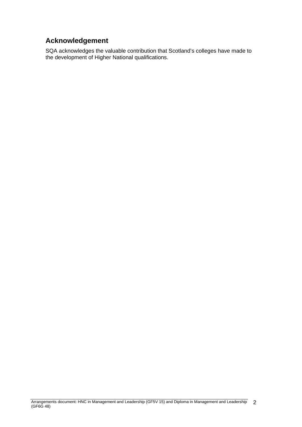## **Acknowledgement**

SQA acknowledges the valuable contribution that Scotland's colleges have made to the development of Higher National qualifications.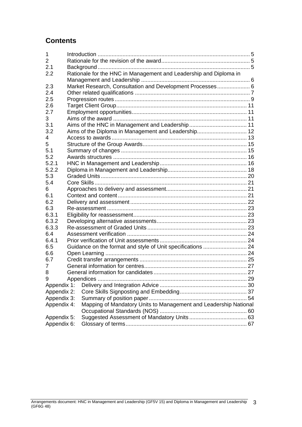## **Contents**

| 1           |                                                                   |  |
|-------------|-------------------------------------------------------------------|--|
| 2           |                                                                   |  |
| 2.1         |                                                                   |  |
| 2.2         | Rationale for the HNC in Management and Leadership and Diploma in |  |
|             |                                                                   |  |
| 2.3         | Market Research, Consultation and Development Processes 6         |  |
| 2.4         |                                                                   |  |
| 2.5         |                                                                   |  |
| 2.6         |                                                                   |  |
| 2.7         |                                                                   |  |
| 3           |                                                                   |  |
| 3.1         |                                                                   |  |
| 3.2         | Aims of the Diploma in Management and Leadership 12               |  |
| 4           |                                                                   |  |
| 5           |                                                                   |  |
| 5.1         |                                                                   |  |
| 5.2         |                                                                   |  |
| 5.2.1       |                                                                   |  |
| 5.2.2       |                                                                   |  |
| 5.3         |                                                                   |  |
| 5.4         |                                                                   |  |
| 6           |                                                                   |  |
| 6.1         |                                                                   |  |
| 6.2         |                                                                   |  |
| 6.3         |                                                                   |  |
| 6.3.1       |                                                                   |  |
| 6.3.2       |                                                                   |  |
| 6.3.3       |                                                                   |  |
| 6.4         |                                                                   |  |
| 6.4.1       |                                                                   |  |
| 6.5         | Guidance on the format and style of Unit specifications  24       |  |
| 6.6         |                                                                   |  |
| 6.7         |                                                                   |  |
| 7           |                                                                   |  |
| 8           |                                                                   |  |
| 9           |                                                                   |  |
| Appendix 1: |                                                                   |  |
| Appendix 2: |                                                                   |  |
| Appendix 3: |                                                                   |  |
| Appendix 4: | Mapping of Mandatory Units to Management and Leadership National  |  |
|             |                                                                   |  |
| Appendix 5: |                                                                   |  |
| Appendix 6: |                                                                   |  |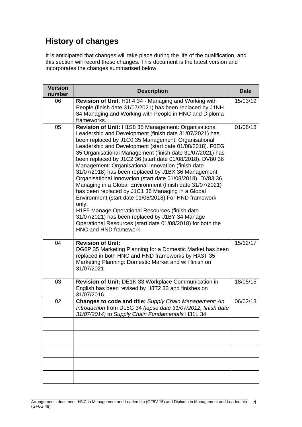## **History of changes**

It is anticipated that changes will take place during the life of the qualification, and this section will record these changes. This document is the latest version and incorporates the changes summarised below.

| <b>Version</b> | <b>Description</b>                                                                                                                                                                                                                                                                                                                                                                                                                                                                                                                                                                                                                                                                                                                                                                                                                                                                                                         | <b>Date</b> |
|----------------|----------------------------------------------------------------------------------------------------------------------------------------------------------------------------------------------------------------------------------------------------------------------------------------------------------------------------------------------------------------------------------------------------------------------------------------------------------------------------------------------------------------------------------------------------------------------------------------------------------------------------------------------------------------------------------------------------------------------------------------------------------------------------------------------------------------------------------------------------------------------------------------------------------------------------|-------------|
| number         |                                                                                                                                                                                                                                                                                                                                                                                                                                                                                                                                                                                                                                                                                                                                                                                                                                                                                                                            |             |
| 06             | Revision of Unit: H1F4 34 - Managing and Working with<br>People (finish date 31/07/2021) has been replaced by J1NH<br>34 Managing and Working with People in HNC and Diploma<br>frameworks.                                                                                                                                                                                                                                                                                                                                                                                                                                                                                                                                                                                                                                                                                                                                | 15/03/19    |
| 05             | Revision of Unit: H1S8 35 Management: Organisational<br>Leadership and Development (finish date 31/07/2021) has<br>been replaced by J1C0 35 Management: Organisational<br>Leadership and Development (start date 01/08/2018). F0EG<br>35 Organisational Management (finish date 31/07/2021) has<br>been replaced by J1C2 36 (start date 01/08/2018). DV80 36<br>Management: Organisational Innovation (finish date<br>31/07/2018) has been replaced by J1BX 36 Management:<br>Organisational Innovation (start date 01/08/2018). DV83 36<br>Managing in a Global Environment (finish date 31/07/2021)<br>has been replaced by J1C1 36 Managing in a Global<br>Environment (start date 01/08/2018). For HND framework<br>only.<br>H1F5 Manage Operational Resources (finish date<br>31/07/2021) has been replaced by J1BY 34 Manage<br>Operational Resources (start date 01/08/2018) for both the<br>HNC and HND framework. | 01/08/18    |
| 04             | <b>Revision of Unit:</b><br>DG6P 35 Marketing Planning for a Domestic Market has been<br>replaced in both HNC and HND frameworks by HX3T 35<br>Marketing Planning: Domestic Market and will finish on<br>31/07/2021                                                                                                                                                                                                                                                                                                                                                                                                                                                                                                                                                                                                                                                                                                        | 15/12/17    |
| 03             | Revision of Unit: DE1K 33 Workplace Communication in<br>English has been revised by H8T2 33 and finishes on<br>31/07/2016.                                                                                                                                                                                                                                                                                                                                                                                                                                                                                                                                                                                                                                                                                                                                                                                                 | 18/05/15    |
| 02             | Changes to code and title: Supply Chain Management: An<br>Introduction from DL5G 34 (lapse date 31/07/2012, finish date<br>31/07/2014) to Supply Chain Fundamentals H31L 34.                                                                                                                                                                                                                                                                                                                                                                                                                                                                                                                                                                                                                                                                                                                                               | 06/02/13    |
|                |                                                                                                                                                                                                                                                                                                                                                                                                                                                                                                                                                                                                                                                                                                                                                                                                                                                                                                                            |             |
|                |                                                                                                                                                                                                                                                                                                                                                                                                                                                                                                                                                                                                                                                                                                                                                                                                                                                                                                                            |             |
|                |                                                                                                                                                                                                                                                                                                                                                                                                                                                                                                                                                                                                                                                                                                                                                                                                                                                                                                                            |             |
|                |                                                                                                                                                                                                                                                                                                                                                                                                                                                                                                                                                                                                                                                                                                                                                                                                                                                                                                                            |             |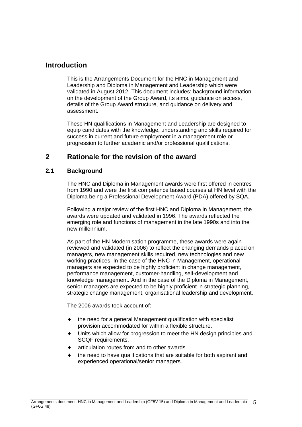## **Introduction**

This is the Arrangements Document for the HNC in Management and Leadership and Diploma in Management and Leadership which were validated in August 2012. This document includes: background information on the development of the Group Award, its aims, guidance on access, details of the Group Award structure, and guidance on delivery and assessment.

These HN qualifications in Management and Leadership are designed to equip candidates with the knowledge, understanding and skills required for success in current and future employment in a management role or progression to further academic and/or professional qualifications.

## **2 Rationale for the revision of the award**

#### **2.1 Background**

The HNC and Diploma in Management awards were first offered in centres from 1990 and were the first competence based courses at HN level with the Diploma being a Professional Development Award (PDA) offered by SQA.

Following a major review of the first HNC and Diploma in Management, the awards were updated and validated in 1996. The awards reflected the emerging role and functions of management in the late 1990s and into the new millennium.

As part of the HN Modernisation programme, these awards were again reviewed and validated (in 2006) to reflect the changing demands placed on managers, new management skills required, new technologies and new working practices. In the case of the HNC in Management, operational managers are expected to be highly proficient in change management, performance management, customer-handling, self-development and knowledge management. And in the case of the Diploma in Management, senior managers are expected to be highly proficient in strategic planning, strategic change management, organisational leadership and development.

The 2006 awards took account of:

- $\bullet$  the need for a general Management qualification with specialist provision accommodated for within a flexible structure.
- Units which allow for progression to meet the HN design principles and SCQF requirements.
- ◆ articulation routes from and to other awards.
- the need to have qualifications that are suitable for both aspirant and experienced operational/senior managers.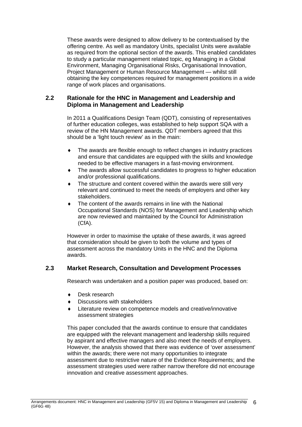These awards were designed to allow delivery to be contextualised by the offering centre. As well as mandatory Units, specialist Units were available as required from the optional section of the awards. This enabled candidates to study a particular management related topic, eg Managing in a Global Environment, Managing Organisational Risks, Organisational Innovation, Project Management or Human Resource Management — whilst still obtaining the key competences required for management positions in a wide range of work places and organisations.

#### **2.2 Rationale for the HNC in Management and Leadership and Diploma in Management and Leadership**

In 2011 a Qualifications Design Team (QDT), consisting of representatives of further education colleges, was established to help support SQA with a review of the HN Management awards. QDT members agreed that this should be a 'light touch review' as in the main:

- The awards are flexible enough to reflect changes in industry practices and ensure that candidates are equipped with the skills and knowledge needed to be effective managers in a fast-moving environment.
- The awards allow successful candidates to progress to higher education and/or professional qualifications.
- The structure and content covered within the awards were still very relevant and continued to meet the needs of employers and other key stakeholders.
- The content of the awards remains in line with the National Occupational Standards (NOS) for Management and Leadership which are now reviewed and maintained by the Council for Administration (CfA).

However in order to maximise the uptake of these awards, it was agreed that consideration should be given to both the volume and types of assessment across the mandatory Units in the HNC and the Diploma awards.

#### **2.3 Market Research, Consultation and Development Processes**

Research was undertaken and a position paper was produced, based on:

- Desk research
- Discussions with stakeholders
- Literature review on competence models and creative/innovative assessment strategies

This paper concluded that the awards continue to ensure that candidates are equipped with the relevant management and leadership skills required by aspirant and effective managers and also meet the needs of employers. However, the analysis showed that there was evidence of 'over assessment' within the awards; there were not many opportunities to integrate assessment due to restrictive nature of the Evidence Requirements; and the assessment strategies used were rather narrow therefore did not encourage innovation and creative assessment approaches.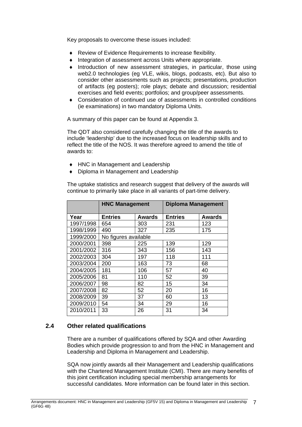Key proposals to overcome these issues included:

- ◆ Review of Evidence Requirements to increase flexibility.
- $\bullet$  Integration of assessment across Units where appropriate.
- Introduction of new assessment strategies, in particular, those using web2.0 technologies (eg VLE, wikis, blogs, podcasts, etc). But also to consider other assessments such as projects; presentations, production of artifacts (eg posters); role plays; debate and discussion; residential exercises and field events; portfolios; and group/peer assessments.
- Consideration of continued use of assessments in controlled conditions (ie examinations) in two mandatory Diploma Units.

A summary of this paper can be found at Appendix 3.

The QDT also considered carefully changing the title of the awards to include 'leadership' due to the increased focus on leadership skills and to reflect the title of the NOS. It was therefore agreed to amend the title of awards to:

- ◆ HNC in Management and Leadership
- Diploma in Management and Leadership

The uptake statistics and research suggest that delivery of the awards will continue to primarily take place in all variants of part-time delivery.

|           | <b>HNC Management</b> |               | <b>Diploma Management</b> |               |
|-----------|-----------------------|---------------|---------------------------|---------------|
| Year      | <b>Entries</b>        | <b>Awards</b> | <b>Entries</b>            | <b>Awards</b> |
| 1997/1998 | 654                   | 303           | 231                       | 123           |
| 1998/1999 | 490                   | 327           | 235                       | 175           |
| 1999/2000 | No figures available  |               |                           |               |
| 2000/2001 | 398                   | 225           | 139                       | 129           |
| 2001/2002 | 316                   | 343           | 156                       | 143           |
| 2002/2003 | 304                   | 197           | 118                       | 111           |
| 2003/2004 | 200                   | 163           | 73                        | 68            |
| 2004/2005 | 181                   | 106           | 57                        | 40            |
| 2005/2006 | 81                    | 110           | 52                        | 39            |
| 2006/2007 | 98                    | 82            | 15                        | 34            |
| 2007/2008 | 82                    | 52            | 20                        | 16            |
| 2008/2009 | 39                    | 37            | 60                        | 13            |
| 2009/2010 | 54                    | 34            | 29                        | 16            |
| 2010/2011 | 33                    | 26            | 31                        | 34            |

#### **2.4 Other related qualifications**

There are a number of qualifications offered by SQA and other Awarding Bodies which provide progression to and from the HNC in Management and Leadership and Diploma in Management and Leadership.

SQA now jointly awards all their Management and Leadership qualifications with the Chartered Management Institute (CMI). There are many benefits of this joint certification including special membership arrangements for successful candidates. More information can be found later in this section.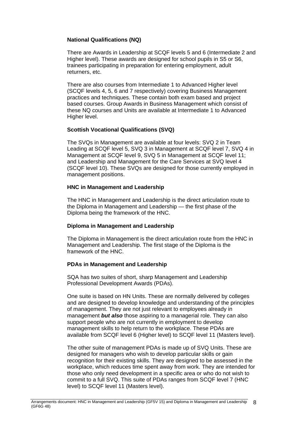#### **National Qualifications (NQ)**

There are Awards in Leadership at SCQF levels 5 and 6 (Intermediate 2 and Higher level). These awards are designed for school pupils in S5 or S6, trainees participating in preparation for entering employment, adult returners, etc.

There are also courses from Intermediate 1 to Advanced Higher level (SCQF levels 4, 5, 6 and 7 respectively) covering Business Management practices and techniques. These contain both exam based and project based courses. Group Awards in Business Management which consist of these NQ courses and Units are available at Intermediate 1 to Advanced Higher level.

#### **Scottish Vocational Qualifications (SVQ)**

The SVQs in Management are available at four levels: SVQ 2 in Team Leading at SCQF level 5, SVQ 3 in Management at SCQF level 7, SVQ 4 in Management at SCQF level 9, SVQ 5 in Management at SCQF level 11; and Leadership and Management for the Care Services at SVQ level 4 (SCQF level 10). These SVQs are designed for those currently employed in management positions.

#### **HNC in Management and Leadership**

The HNC in Management and Leadership is the direct articulation route to the Diploma in Management and Leadership — the first phase of the Diploma being the framework of the HNC.

#### **Diploma in Management and Leadership**

The Diploma in Management is the direct articulation route from the HNC in Management and Leadership. The first stage of the Diploma is the framework of the HNC.

#### **PDAs in Management and Leadership**

SQA has two suites of short, sharp Management and Leadership Professional Development Awards (PDAs).

One suite is based on HN Units. These are normally delivered by colleges and are designed to develop knowledge and understanding of the principles of management. They are not just relevant to employees already in management *but also* those aspiring to a managerial role. They can also support people who are not currently in employment to develop management skills to help return to the workplace. These PDAs are available from SCQF level 6 (Higher level) to SCQF level 11 (Masters level).

The other suite of management PDAs is made up of SVQ Units. These are designed for managers who wish to develop particular skills or gain recognition for their existing skills. They are designed to be assessed in the workplace, which reduces time spent away from work. They are intended for those who only need development in a specific area or who do not wish to commit to a full SVQ. This suite of PDAs ranges from SCQF level 7 (HNC level) to SCQF level 11 (Masters level).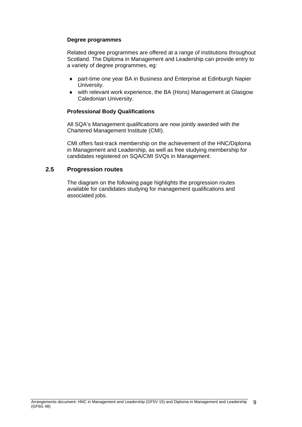#### **Degree programmes**

Related degree programmes are offered at a range of institutions throughout Scotland. The Diploma in Management and Leadership can provide entry to a variety of degree programmes, eg:

- part-time one year BA in Business and Enterprise at Edinburgh Napier University.
- with relevant work experience, the BA (Hons) Management at Glasgow Caledonian University.

#### **Professional Body Qualifications**

All SQA's Management qualifications are now jointly awarded with the Chartered Management Institute (CMI).

CMI offers fast-track membership on the achievement of the HNC/Diploma in Management and Leadership, as well as free studying membership for candidates registered on SQA/CMI SVQs in Management.

#### **2.5 Progression routes**

The diagram on the following page highlights the progression routes available for candidates studying for management qualifications and associated jobs.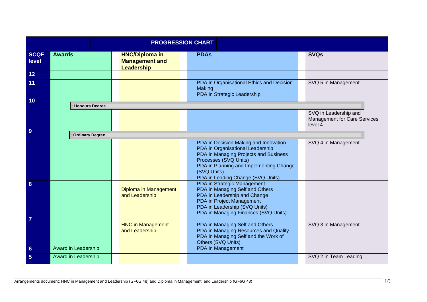| <b>PROGRESSION CHART</b> |                        |                                                                     |                                                                                                                                                                                                                                            |                                                                         |  |
|--------------------------|------------------------|---------------------------------------------------------------------|--------------------------------------------------------------------------------------------------------------------------------------------------------------------------------------------------------------------------------------------|-------------------------------------------------------------------------|--|
| <b>SCQF</b><br>level     | <b>Awards</b>          | <b>HNC/Diploma in</b><br><b>Management and</b><br><b>Leadership</b> | <b>PDAs</b>                                                                                                                                                                                                                                | <b>SVQs</b>                                                             |  |
| $12$                     |                        |                                                                     |                                                                                                                                                                                                                                            |                                                                         |  |
| 11                       |                        |                                                                     | PDA in Organisational Ethics and Decision<br>Making<br>PDA in Strategic Leadership                                                                                                                                                         | SVQ 5 in Management                                                     |  |
| 10                       | <b>Honours Dearee</b>  |                                                                     |                                                                                                                                                                                                                                            |                                                                         |  |
|                          |                        |                                                                     |                                                                                                                                                                                                                                            | SVQ in Leadership and<br><b>Management for Care Services</b><br>level 4 |  |
| 9                        | <b>Ordinary Degree</b> |                                                                     |                                                                                                                                                                                                                                            |                                                                         |  |
|                          |                        |                                                                     | PDA in Decision Making and Innovation<br>PDA in Organisational Leadership<br>PDA in Managing Projects and Business<br>Processes (SVQ Units)<br>PDA in Planning and Implementing Change<br>(SVQ Units)<br>PDA in Leading Change (SVQ Units) | SVQ 4 in Management                                                     |  |
| 8                        |                        | Diploma in Management<br>and Leadership                             | PDA in Strategic Management<br>PDA in Managing Self and Others<br>PDA in Leadership and Change<br>PDA in Project Management<br>PDA in Leadership (SVQ Units)<br>PDA in Managing Finances (SVQ Units)                                       |                                                                         |  |
| $\overline{7}$           |                        | <b>HNC in Management</b><br>and Leadership                          | PDA in Managing Self and Others<br>PDA in Managing Resources and Quality<br>PDA in Managing Self and the Work of<br>Others (SVQ Units)                                                                                                     | SVQ 3 in Management                                                     |  |
| $6\phantom{a}$           | Award in Leadership    |                                                                     | <b>PDA</b> in Management                                                                                                                                                                                                                   |                                                                         |  |
| $5\phantom{.0}$          | Award in Leadership    |                                                                     |                                                                                                                                                                                                                                            | SVQ 2 in Team Leading                                                   |  |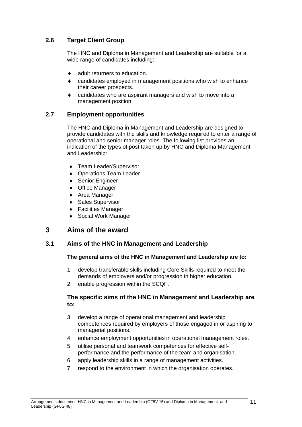## **2.6 Target Client Group**

The HNC and Diploma in Management and Leadership are suitable for a wide range of candidates including:

- adult returners to education.
- candidates employed in management positions who wish to enhance their career prospects.
- candidates who are aspirant managers and wish to move into a management position.

### **2.7 Employment opportunities**

The HNC and Diploma in Management and Leadership are designed to provide candidates with the skills and knowledge required to enter a range of operational and senior manager roles. The following list provides an indication of the types of post taken up by HNC and Diploma Management and Leadership:

- ◆ Team Leader/Supervisor
- ◆ Operations Team Leader
- Senior Engineer
- ◆ Office Manager
- ◆ Area Manager
- ◆ Sales Supervisor
- ◆ Facilities Manager
- Social Work Manager

### **3 Aims of the award**

#### **3.1 Aims of the HNC in Management and Leadership**

#### **The general aims of the HNC in Management and Leadership are to:**

- 1 develop transferable skills including Core Skills required to meet the demands of employers and/or progression in higher education.
- 2 enable progression within the SCQF.

#### **The specific aims of the HNC in Management and Leadership are to:**

- 3 develop a range of operational management and leadership competences required by employers of those engaged in or aspiring to managerial positions.
- 4 enhance employment opportunities in operational management roles.
- 5 utilise personal and teamwork competences for effective selfperformance and the performance of the team and organisation.
- 6 apply leadership skills in a range of management activities.
- 7 respond to the environment in which the organisation operates.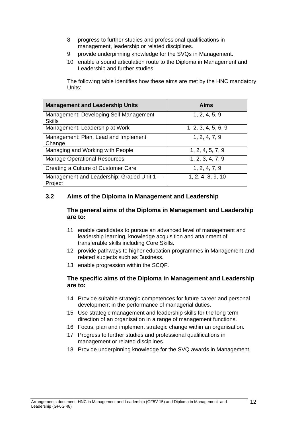- 8 progress to further studies and professional qualifications in management, leadership or related disciplines.
- 9 provide underpinning knowledge for the SVQs in Management.
- 10 enable a sound articulation route to the Diploma in Management and Leadership and further studies.

The following table identifies how these aims are met by the HNC mandatory Units:

| <b>Management and Leadership Units</b>                  | Aims                |
|---------------------------------------------------------|---------------------|
| Management: Developing Self Management<br><b>Skills</b> | 1, 2, 4, 5, 9       |
| Management: Leadership at Work                          | 1, 2, 3, 4, 5, 6, 9 |
| Management: Plan, Lead and Implement<br>Change          | 1, 2, 4, 7, 9       |
| Managing and Working with People                        | 1, 2, 4, 5, 7, 9    |
| <b>Manage Operational Resources</b>                     | 1, 2, 3, 4, 7, 9    |
| Creating a Culture of Customer Care                     | 1, 2, 4, 7, 9       |
| Management and Leadership: Graded Unit 1 -<br>Project   | 1, 2, 4, 8, 9, 10   |

### **3.2 Aims of the Diploma in Management and Leadership**

#### **The general aims of the Diploma in Management and Leadership are to:**

- 11 enable candidates to pursue an advanced level of management and leadership learning, knowledge acquisition and attainment of transferable skills including Core Skills.
- 12 provide pathways to higher education programmes in Management and related subjects such as Business.
- 13 enable progression within the SCQF.

### **The specific aims of the Diploma in Management and Leadership are to:**

- 14 Provide suitable strategic competences for future career and personal development in the performance of managerial duties.
- 15 Use strategic management and leadership skills for the long term direction of an organisation in a range of management functions.
- 16 Focus, plan and implement strategic change within an organisation.
- 17 Progress to further studies and professional qualifications in management or related disciplines.
- 18 Provide underpinning knowledge for the SVQ awards in Management.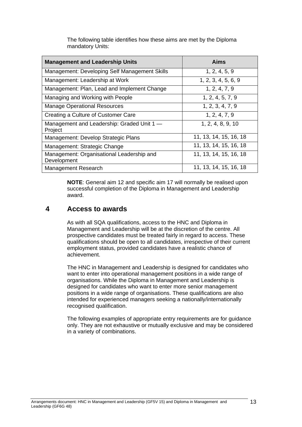| <b>Management and Leadership Units</b>                   | <b>Aims</b>            |
|----------------------------------------------------------|------------------------|
| Management: Developing Self Management Skills            | 1, 2, 4, 5, 9          |
| Management: Leadership at Work                           | 1, 2, 3, 4, 5, 6, 9    |
| Management: Plan, Lead and Implement Change              | 1, 2, 4, 7, 9          |
| Managing and Working with People                         | 1, 2, 4, 5, 7, 9       |
| <b>Manage Operational Resources</b>                      | 1, 2, 3, 4, 7, 9       |
| Creating a Culture of Customer Care                      | 1, 2, 4, 7, 9          |
| Management and Leadership: Graded Unit 1 -<br>Project    | 1, 2, 4, 8, 9, 10      |
| Management: Develop Strategic Plans                      | 11, 13, 14, 15, 16, 18 |
| Management: Strategic Change                             | 11, 13, 14, 15, 16, 18 |
| Management: Organisational Leadership and<br>Development | 11, 13, 14, 15, 16, 18 |
| Management Research                                      | 11, 13, 14, 15, 16, 18 |

The following table identifies how these aims are met by the Diploma mandatory Units:

**NOTE**: General aim 12 and specific aim 17 will normally be realised upon successful completion of the Diploma in Management and Leadership award.

## **4 Access to awards**

As with all SQA qualifications, access to the HNC and Diploma in Management and Leadership will be at the discretion of the centre. All prospective candidates must be treated fairly in regard to access. These qualifications should be open to all candidates, irrespective of their current employment status, provided candidates have a realistic chance of achievement.

The HNC in Management and Leadership is designed for candidates who want to enter into operational management positions in a wide range of organisations. While the Diploma in Management and Leadership is designed for candidates who want to enter more senior management positions in a wide range of organisations. These qualifications are also intended for experienced managers seeking a nationally/internationally recognised qualification.

The following examples of appropriate entry requirements are for guidance only. They are not exhaustive or mutually exclusive and may be considered in a variety of combinations.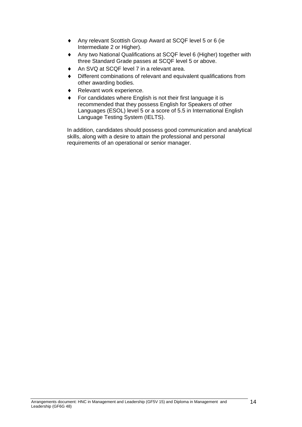- Any relevant Scottish Group Award at SCQF level 5 or 6 (ie Intermediate 2 or Higher).
- Any two National Qualifications at SCQF level 6 (Higher) together with three Standard Grade passes at SCQF level 5 or above.
- An SVQ at SCQF level 7 in a relevant area.
- Different combinations of relevant and equivalent qualifications from other awarding bodies.
- ◆ Relevant work experience.
- For candidates where English is not their first language it is recommended that they possess English for Speakers of other Languages (ESOL) level 5 or a score of 5.5 in International English Language Testing System (IELTS).

In addition, candidates should possess good communication and analytical skills, along with a desire to attain the professional and personal requirements of an operational or senior manager.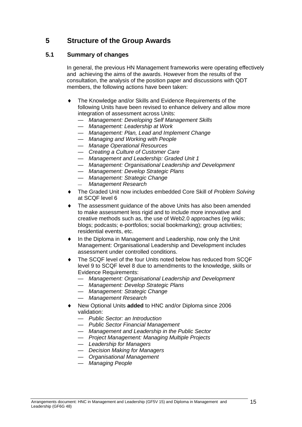## **5 Structure of the Group Awards**

#### **5.1 Summary of changes**

In general, the previous HN Management frameworks were operating effectively and achieving the aims of the awards. However from the results of the consultation, the analysis of the position paper and discussions with QDT members, the following actions have been taken:

- The Knowledge and/or Skills and Evidence Requirements of the following Units have been revised to enhance delivery and allow more integration of assessment across Units:
	- *Management: Developing Self Management Skills*
	- *Management: Leadership at Work*
	- *Management: Plan, Lead and Implement Change*
	- *Managing and Working with People*
	- *Manage Operational Resources*
	- *Creating a Culture of Customer Care*
	- *Management and Leadership: Graded Unit 1*
	- *Management: Organisational Leadership and Development*
	- *Management: Develop Strategic Plans*
	- *Management: Strategic Change*
	- *Management Research*
- The Graded Unit now includes embedded Core Skill of *Problem Solving* at SCQF level 6
- The assessment guidance of the above Units has also been amended to make assessment less rigid and to include more innovative and creative methods such as, the use of Web2.0 approaches (eg wikis; blogs; podcasts; e-portfolios; social bookmarking); group activities; residential events, etc.
- In the Diploma in Management and Leadership, now only the Unit Management: Organisational Leadership and Development includes assessment under controlled conditions.
- The SCQF level of the four Units noted below has reduced from SCQF level 9 to SCQF level 8 due to amendments to the knowledge, skills or Evidence Requirements:
	- *Management: Organisational Leadership and Development*
	- *Management: Develop Strategic Plans*
	- *Management: Strategic Change*
	- *Management Research*
- New Optional Units **added** to HNC and/or Diploma since 2006 validation:
	- *Public Sector: an Introduction*
	- *Public Sector Financial Management*
	- *Management and Leadership in the Public Sector*
	- *Project Management: Managing Multiple Projects*
	- *Leadership for Managers*
	- *Decision Making for Managers*
	- *Organisational Management*
	- *Managing People*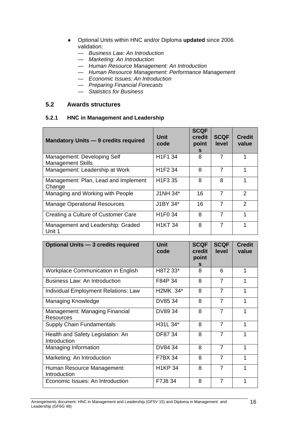- Optional Units within HNC and/or Diploma **updated** since 2006 validation:
	- *Business Law: An Introduction*
	- *Marketing: An Introduction*
	- *Human Resource Management: An Introduction*
	- *Human Resource Management: Performance Management*
	- *Economic Issues: An Introduction*
	- *Preparing Financial Forecasts*
	- *Statistics for Business*

### **5.2 Awards structures**

#### **5.2.1 HNC in Management and Leadership**

| <b>Mandatory Units - 9 credits required</b>             | <b>Unit</b><br>code              | <b>SCQF</b><br>credit<br>point<br>s | <b>SCQF</b><br>level | <b>Credit</b><br>value |
|---------------------------------------------------------|----------------------------------|-------------------------------------|----------------------|------------------------|
| Management: Developing Self<br><b>Management Skills</b> | H <sub>1F1</sub> 34              | 8                                   | 7                    | 1                      |
| Management: Leadership at Work                          | H <sub>1</sub> F <sub>2</sub> 34 | 8                                   | $\overline{7}$       | 1                      |
| Management: Plan, Lead and Implement<br>Change          | H <sub>1</sub> F <sub>3</sub> 35 | 8                                   | 8                    | 1                      |
| Managing and Working with People                        | J1NH 34*                         | 16                                  | 7                    | $\mathcal{P}$          |
| <b>Manage Operational Resources</b>                     | J1BY 34*                         | 16                                  | $\overline{7}$       | $\mathcal{P}$          |
| Creating a Culture of Customer Care                     | H <sub>1F0</sub> 34              | 8                                   | $\overline{7}$       | 1                      |
| Management and Leadership: Graded<br>Unit 1             | <b>H1KT 34</b>                   | 8                                   | $\overline{7}$       | 1                      |

| Optional Units - 3 credits required                | Unit<br>code             | <b>SCQF</b><br>credit<br>point<br>S | <b>SCQF</b><br>level | <b>Credit</b><br>value |
|----------------------------------------------------|--------------------------|-------------------------------------|----------------------|------------------------|
| <b>Workplace Communication in English</b>          | H8T2 33*                 | 8                                   | 6                    | 1                      |
| Business Law: An Introduction                      | F84P 34                  | 8                                   | $\overline{7}$       | 1                      |
| Individual Employment Relations: Law               | H <sub>2</sub> MK $34^*$ | 8                                   | $\overline{7}$       | 1                      |
| <b>Managing Knowledge</b>                          | DV85 34                  | 8                                   | $\overline{7}$       | 1                      |
| Management: Managing Financial<br><b>Resources</b> | DV89 34                  | 8                                   | $\overline{7}$       | 1                      |
| <b>Supply Chain Fundamentals</b>                   | H31L 34*                 | 8                                   | $\overline{7}$       | 1                      |
| Health and Safety Legislation: An<br>Introduction  | DF87 34                  | 8                                   | $\overline{7}$       | 1                      |
| Managing Information                               | DV84 34                  | 8                                   | $\overline{7}$       | 1                      |
| Marketing: An Introduction                         | <b>F7BX 34</b>           | 8                                   | $\overline{7}$       | 1                      |
| Human Resource Management:<br>Introduction         | <b>H1KP34</b>            | 8                                   | $\overline{7}$       | 1                      |
| Economic Issues: An Introduction                   | F7J8 34                  | 8                                   | $\overline{7}$       | 1                      |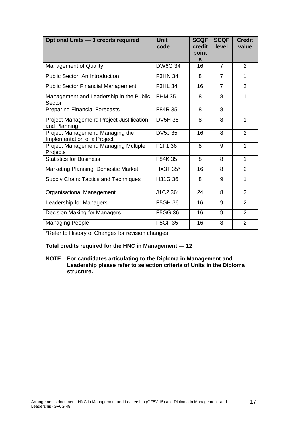| Optional Units - 3 credits required                             | <b>Unit</b><br>code | <b>SCQF</b><br>credit<br>point<br>s | <b>SCQF</b><br>level | <b>Credit</b><br>value |
|-----------------------------------------------------------------|---------------------|-------------------------------------|----------------------|------------------------|
| <b>Management of Quality</b>                                    | <b>DW6G 34</b>      | 16                                  | $\overline{7}$       | $\overline{2}$         |
| <b>Public Sector: An Introduction</b>                           | <b>F3HN 34</b>      | 8                                   | $\overline{7}$       | 1                      |
| <b>Public Sector Financial Management</b>                       | <b>F3HL 34</b>      | 16                                  | 7                    | $\mathcal{P}$          |
| Management and Leadership in the Public<br>Sector               | <b>FHM 35</b>       | 8                                   | 8                    | 1                      |
| <b>Preparing Financial Forecasts</b>                            | F84R 35             | 8                                   | 8                    | $\mathbf{1}$           |
| Project Management: Project Justification<br>and Planning       | <b>DV5H35</b>       | 8                                   | 8                    | 1                      |
| Project Management: Managing the<br>Implementation of a Project | <b>DV5J35</b>       | 16                                  | 8                    | $\overline{2}$         |
| Project Management: Managing Multiple<br>Projects               | F1F1 36             | 8                                   | 9                    | 1                      |
| <b>Statistics for Business</b>                                  | F84K 35             | 8                                   | 8                    | 1                      |
| Marketing Planning: Domestic Market                             | HX3T 35*            | 16                                  | 8                    | 2                      |
| Supply Chain: Tactics and Techniques                            | H31G 36             | 8                                   | 9                    | 1                      |
| <b>Organisational Management</b>                                | J1C2 36*            | 24                                  | 8                    | 3                      |
| Leadership for Managers                                         | F5GH 36             | 16                                  | 9                    | 2                      |
| <b>Decision Making for Managers</b>                             | F5GG 36             | 16                                  | 9                    | 2                      |
| <b>Managing People</b>                                          | <b>F5GF 35</b>      | 16                                  | 8                    | $\overline{2}$         |

\*Refer to History of Changes for revision changes.

#### **Total credits required for the HNC in Management — 12**

**NOTE: For candidates articulating to the Diploma in Management and Leadership please refer to selection criteria of Units in the Diploma structure.**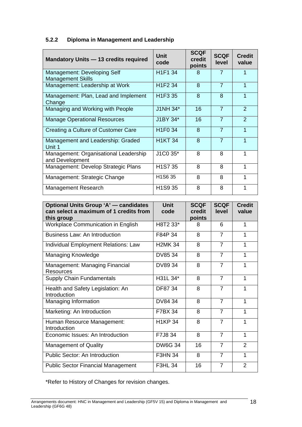## **5.2.2 Diploma in Management and Leadership**

| <b>Mandatory Units - 13 credits required</b>             | Unit<br>code                     | <b>SCQF</b><br>credit<br>points | <b>SCQF</b><br>level | <b>Credit</b><br>value |
|----------------------------------------------------------|----------------------------------|---------------------------------|----------------------|------------------------|
| Management: Developing Self<br><b>Management Skills</b>  | H <sub>1</sub> F <sub>1</sub> 34 | 8                               | 7                    |                        |
| Management: Leadership at Work                           | H <sub>1</sub> F <sub>2</sub> 34 | 8                               | $\overline{7}$       | 1                      |
| Management: Plan, Lead and Implement<br>Change           | H <sub>1</sub> F <sub>3</sub> 35 | 8                               | 8                    | 1                      |
| Managing and Working with People                         | J1NH 34*                         | 16                              | $\overline{7}$       | $\overline{2}$         |
| <b>Manage Operational Resources</b>                      | J1BY 34*                         | 16                              | $\overline{7}$       | 2                      |
| Creating a Culture of Customer Care                      | H <sub>1</sub> F <sub>0</sub> 34 | 8                               | $\overline{7}$       | 1                      |
| Management and Leadership: Graded<br>Unit 1              | <b>H1KT 34</b>                   | 8                               | $\overline{7}$       | 1                      |
| Management: Organisational Leadership<br>and Development | J1C0 35*                         | 8                               | 8                    | 1                      |
| Management: Develop Strategic Plans                      | H <sub>1</sub> S7 35             | 8                               | 8                    | 1                      |
| Management: Strategic Change                             | H <sub>1</sub> S <sub>6</sub> 35 | 8                               | 8                    | 1                      |
| Management Research                                      | H <sub>1</sub> S <sub>9</sub> 35 | 8                               | 8                    |                        |

| <b>Optional Units Group 'A' - candidates</b><br>can select a maximum of 1 credits from<br>this group | <b>Unit</b><br>code | <b>SCQF</b><br>credit<br>points | <b>SCQF</b><br>level | <b>Credit</b><br>value |
|------------------------------------------------------------------------------------------------------|---------------------|---------------------------------|----------------------|------------------------|
| Workplace Communication in English                                                                   | H8T2 33*            | 8                               | 6                    | 1                      |
| <b>Business Law: An Introduction</b>                                                                 | F84P 34             | 8                               | $\overline{7}$       | 1                      |
| Individual Employment Relations: Law                                                                 | <b>H2MK 34</b>      | 8                               | $\overline{7}$       | 1                      |
| Managing Knowledge                                                                                   | DV85 34             | 8                               | $\overline{7}$       | 1                      |
| Management: Managing Financial<br><b>Resources</b>                                                   | DV89 34             | 8                               | $\overline{7}$       | 1                      |
| <b>Supply Chain Fundamentals</b>                                                                     | H31L 34*            | 8                               | $\overline{7}$       | 1                      |
| Health and Safety Legislation: An<br>Introduction                                                    | DF87 34             | 8                               | $\overline{7}$       | 1                      |
| Managing Information                                                                                 | DV84 34             | 8                               | $\overline{7}$       | 1                      |
| Marketing: An Introduction                                                                           | <b>F7BX 34</b>      | 8                               | $\overline{7}$       | 1                      |
| Human Resource Management:<br>Introduction                                                           | <b>H1KP34</b>       | 8                               | $\overline{7}$       | 1                      |
| Economic Issues: An Introduction                                                                     | F7.J8 34            | 8                               | $\overline{7}$       | 1                      |
| <b>Management of Quality</b>                                                                         | <b>DW6G 34</b>      | 16                              | $\overline{7}$       | 2                      |
| Public Sector: An Introduction                                                                       | <b>F3HN 34</b>      | 8                               | $\overline{7}$       | 1                      |
| <b>Public Sector Financial Management</b>                                                            | <b>F3HL 34</b>      | 16                              | 7                    | 2                      |

\*Refer to History of Changes for revision changes.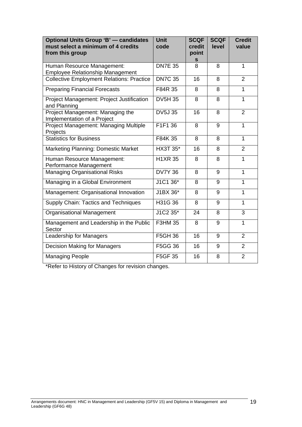| <b>Optional Units Group 'B' - candidates</b><br>must select a minimum of 4 credits<br>from this group | <b>Unit</b><br>code | <b>SCQF</b><br>credit<br>point<br>s | <b>SCQF</b><br><b>level</b> | <b>Credit</b><br>value |
|-------------------------------------------------------------------------------------------------------|---------------------|-------------------------------------|-----------------------------|------------------------|
| Human Resource Management:<br><b>Employee Relationship Management</b>                                 | <b>DN7E 35</b>      | 8                                   | 8                           | 1                      |
| <b>Collective Employment Relations: Practice</b>                                                      | <b>DN7C 35</b>      | 16                                  | 8                           | $\overline{2}$         |
| <b>Preparing Financial Forecasts</b>                                                                  | F84R 35             | 8                                   | 8                           | 1                      |
| Project Management: Project Justification<br>and Planning                                             | <b>DV5H35</b>       | 8                                   | 8                           | 1                      |
| Project Management: Managing the<br>Implementation of a Project                                       | <b>DV5J35</b>       | 16                                  | 8                           | $\overline{2}$         |
| Project Management: Managing Multiple<br>Projects                                                     | F1F1 36             | 8                                   | 9                           | $\mathbf{1}$           |
| <b>Statistics for Business</b>                                                                        | F84K 35             | 8                                   | 8                           | 1                      |
| <b>Marketing Planning: Domestic Market</b>                                                            | <b>HX3T 35*</b>     | 16                                  | 8                           | $\overline{2}$         |
| Human Resource Management:<br>Performance Management                                                  | <b>H1XR 35</b>      | 8                                   | 8                           | 1                      |
| <b>Managing Organisational Risks</b>                                                                  | <b>DV7Y 36</b>      | 8                                   | 9                           | 1                      |
| Managing in a Global Environment                                                                      | J1C1 36*            | 8                                   | 9                           | 1                      |
| Management: Organisational Innovation                                                                 | J1BX 36*            | 8                                   | 9                           | 1                      |
| Supply Chain: Tactics and Techniques                                                                  | H31G 36             | 8                                   | 9                           | 1                      |
| Organisational Management                                                                             | J1C2 35*            | 24                                  | 8                           | 3                      |
| Management and Leadership in the Public<br>Sector                                                     | <b>F3HM 35</b>      | 8                                   | 9                           | 1                      |
| Leadership for Managers                                                                               | <b>F5GH 36</b>      | 16                                  | 9                           | $\overline{2}$         |
| <b>Decision Making for Managers</b>                                                                   | F5GG 36             | 16                                  | 9                           | $\overline{2}$         |
| <b>Managing People</b>                                                                                | <b>F5GF 35</b>      | 16                                  | 8                           | $\overline{2}$         |

\*Refer to History of Changes for revision changes.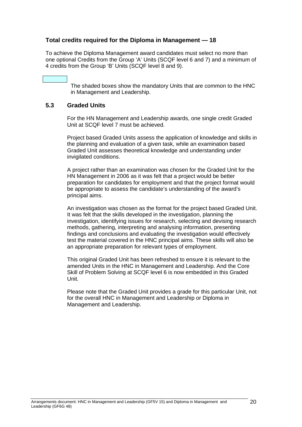#### **Total credits required for the Diploma in Management — 18**

To achieve the Diploma Management award candidates must select no more than one optional Credits from the Group 'A' Units (SCQF level 6 and 7) and a minimum of 4 credits from the Group 'B' Units (SCQF level 8 and 9).

> The shaded boxes show the mandatory Units that are common to the HNC in Management and Leadership.

#### **5.3 Graded Units**

For the HN Management and Leadership awards, one single credit Graded Unit at SCQF level 7 must be achieved.

Project based Graded Units assess the application of knowledge and skills in the planning and evaluation of a given task, while an examination based Graded Unit assesses theoretical knowledge and understanding under invigilated conditions.

A project rather than an examination was chosen for the Graded Unit for the HN Management in 2006 as it was felt that a project would be better preparation for candidates for employment and that the project format would be appropriate to assess the candidate's understanding of the award's principal aims.

An investigation was chosen as the format for the project based Graded Unit. It was felt that the skills developed in the investigation, planning the investigation, identifying issues for research, selecting and devising research methods, gathering, interpreting and analysing information, presenting findings and conclusions and evaluating the investigation would effectively test the material covered in the HNC principal aims. These skills will also be an appropriate preparation for relevant types of employment.

This original Graded Unit has been refreshed to ensure it is relevant to the amended Units in the HNC in Management and Leadership. And the Core Skill of Problem Solving at SCQF level 6 is now embedded in this Graded Unit.

Please note that the Graded Unit provides a grade for this particular Unit, not for the overall HNC in Management and Leadership or Diploma in Management and Leadership.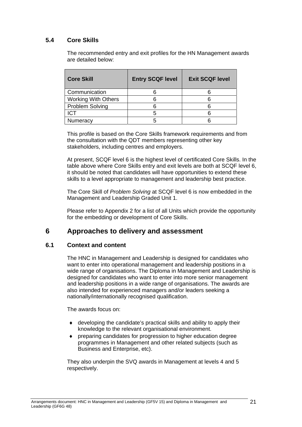### **5.4 Core Skills**

The recommended entry and exit profiles for the HN Management awards are detailed below:

| <b>Core Skill</b>          | <b>Entry SCQF level</b> | <b>Exit SCQF level</b> |
|----------------------------|-------------------------|------------------------|
| Communication              |                         |                        |
| <b>Working With Others</b> |                         |                        |
| Problem Solving            |                         |                        |
| ICT                        | 5                       |                        |
| Numeracy                   |                         |                        |

This profile is based on the Core Skills framework requirements and from the consultation with the QDT members representing other key stakeholders, including centres and employers.

At present, SCQF level 6 is the highest level of certificated Core Skills. In the table above where Core Skills entry and exit levels are both at SCQF level 6, it should be noted that candidates will have opportunities to extend these skills to a level appropriate to management and leadership best practice.

The Core Skill of *Problem Solving* at SCQF level 6 is now embedded in the Management and Leadership Graded Unit 1.

Please refer to Appendix 2 for a list of all Units which provide the opportunity for the embedding or development of Core Skills.

## **6 Approaches to delivery and assessment**

#### **6.1 Context and content**

The HNC in Management and Leadership is designed for candidates who want to enter into operational management and leadership positions in a wide range of organisations. The Diploma in Management and Leadership is designed for candidates who want to enter into more senior management and leadership positions in a wide range of organisations. The awards are also intended for experienced managers and/or leaders seeking a nationally/internationally recognised qualification.

The awards focus on:

- developing the candidate's practical skills and ability to apply their knowledge to the relevant organisational environment.
- preparing candidates for progression to higher education degree programmes in Management and other related subjects (such as Business and Enterprise, etc).

They also underpin the SVQ awards in Management at levels 4 and 5 respectively.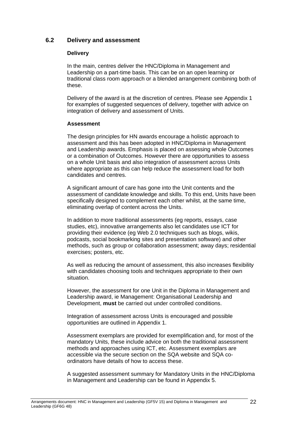### **6.2 Delivery and assessment**

#### **Delivery**

In the main, centres deliver the HNC/Diploma in Management and Leadership on a part-time basis. This can be on an open learning or traditional class room approach or a blended arrangement combining both of these.

Delivery of the award is at the discretion of centres. Please see Appendix 1 for examples of suggested sequences of delivery, together with advice on integration of delivery and assessment of Units.

#### **Assessment**

The design principles for HN awards encourage a holistic approach to assessment and this has been adopted in HNC/Diploma in Management and Leadership awards. Emphasis is placed on assessing whole Outcomes or a combination of Outcomes. However there are opportunities to assess on a whole Unit basis and also integration of assessment across Units where appropriate as this can help reduce the assessment load for both candidates and centres.

A significant amount of care has gone into the Unit contents and the assessment of candidate knowledge and skills. To this end, Units have been specifically designed to complement each other whilst, at the same time, eliminating overlap of content across the Units.

In addition to more traditional assessments (eg reports, essays, case studies, etc), innovative arrangements also let candidates use ICT for providing their evidence (eg Web 2.0 techniques such as blogs, wikis, podcasts, social bookmarking sites and presentation software) and other methods, such as group or collaboration assessment; away days; residential exercises; posters, etc.

As well as reducing the amount of assessment, this also increases flexibility with candidates choosing tools and techniques appropriate to their own situation.

However, the assessment for one Unit in the Diploma in Management and Leadership award, ie Management: Organisational Leadership and Development, **must** be carried out under controlled conditions.

Integration of assessment across Units is encouraged and possible opportunities are outlined in Appendix 1.

Assessment exemplars are provided for exemplification and, for most of the mandatory Units, these include advice on both the traditional assessment methods and approaches using ICT, etc. Assessment exemplars are accessible via the secure section on the SQA website and SQA coordinators have details of how to access these.

A suggested assessment summary for Mandatory Units in the HNC/Diploma in Management and Leadership can be found in Appendix 5.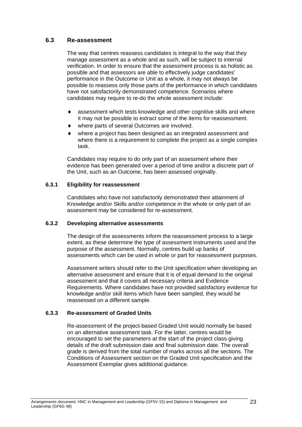#### **6.3 Re-assessment**

The way that centres reassess candidates is integral to the way that they manage assessment as a whole and as such, will be subject to internal verification. In order to ensure that the assessment process is as holistic as possible and that assessors are able to effectively judge candidates' performance in the Outcome or Unit as a whole, it may not always be possible to reassess only those parts of the performance in which candidates have not satisfactorily demonstrated competence. Scenarios where candidates may require to re-do the whole assessment include:

- assessment which tests knowledge and other cognitive skills and where it may not be possible to extract some of the items for reassessment.
- where parts of several Outcomes are involved.
- where a project has been designed as an integrated assessment and where there is a requirement to complete the project as a single complex task.

Candidates may require to do only part of an assessment where their evidence has been generated over a period of time and/or a discrete part of the Unit, such as an Outcome, has been assessed originally.

#### **6.3.1 Eligibility for reassessment**

Candidates who have not satisfactorily demonstrated their attainment of Knowledge and/or Skills and/or competence in the whole or only part of an assessment may be considered for re-assessment.

#### **6.3.2 Developing alternative assessments**

The design of the assessments inform the reassessment process to a large extent, as these determine the type of assessment instruments used and the purpose of the assessment. Normally, centres build up banks of assessments which can be used in whole or part for reassessment purposes.

Assessment writers should refer to the Unit specification when developing an alternative assessment and ensure that it is of equal demand to the original assessment and that it covers all necessary criteria and Evidence Requirements. Where candidates have not provided satisfactory evidence for knowledge and/or skill items which have been sampled, they would be reassessed on a different sample.

#### **6.3.3 Re-assessment of Graded Units**

Re-assessment of the project-based Graded Unit would normally be based on an alternative assessment task. For the latter, centres would be encouraged to set the parameters at the start of the project class giving details of the draft submission date and final submission date. The overall grade is derived from the total number of marks across all the sections. The Conditions of Assessment section on the Graded Unit specification and the Assessment Exemplar gives additional guidance.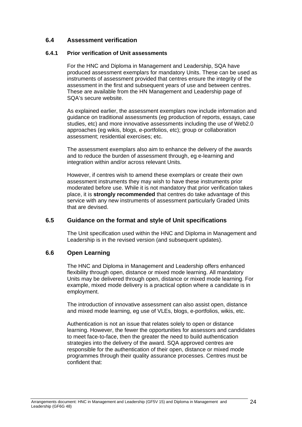#### **6.4 Assessment verification**

#### **6.4.1 Prior verification of Unit assessments**

For the HNC and Diploma in Management and Leadership, SQA have produced assessment exemplars for mandatory Units. These can be used as instruments of assessment provided that centres ensure the integrity of the assessment in the first and subsequent years of use and between centres. These are available from the HN Management and Leadership page of SQA's secure website.

As explained earlier, the assessment exemplars now include information and guidance on traditional assessments (eg production of reports, essays, case studies, etc) and more innovative assessments including the use of Web2.0 approaches (eg wikis, blogs, e-portfolios, etc); group or collaboration assessment; residential exercises; etc.

The assessment exemplars also aim to enhance the delivery of the awards and to reduce the burden of assessment through, eg e-learning and integration within and/or across relevant Units.

However, if centres wish to amend these exemplars or create their own assessment instruments they may wish to have these instruments prior moderated before use. While it is not mandatory that prior verification takes place, it is **strongly recommended** that centres do take advantage of this service with any new instruments of assessment particularly Graded Units that are devised.

#### **6.5 Guidance on the format and style of Unit specifications**

The Unit specification used within the HNC and Diploma in Management and Leadership is in the revised version (and subsequent updates).

#### **6.6 Open Learning**

The HNC and Diploma in Management and Leadership offers enhanced flexibility through open, distance or mixed mode learning. All mandatory Units may be delivered through open, distance or mixed mode learning. For example, mixed mode delivery is a practical option where a candidate is in employment.

The introduction of innovative assessment can also assist open, distance and mixed mode learning, eg use of VLEs, blogs, e-portfolios, wikis, etc.

Authentication is not an issue that relates solely to open or distance learning. However, the fewer the opportunities for assessors and candidates to meet face-to-face, then the greater the need to build authentication strategies into the delivery of the award. SQA approved centres are responsible for the authentication of their open, distance or mixed mode programmes through their quality assurance processes. Centres must be confident that: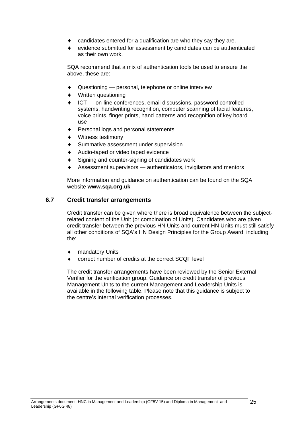- candidates entered for a qualification are who they say they are.
- evidence submitted for assessment by candidates can be authenticated as their own work.

SQA recommend that a mix of authentication tools be used to ensure the above, these are:

- ◆ Questioning personal, telephone or online interview
- Written questioning
- ICT on-line conferences, email discussions, password controlled systems, handwriting recognition, computer scanning of facial features, voice prints, finger prints, hand patterns and recognition of key board use
- Personal logs and personal statements
- Witness testimony
- ◆ Summative assessment under supervision
- ◆ Audio-taped or video taped evidence
- ◆ Signing and counter-signing of candidates work
- Assessment supervisors authenticators, invigilators and mentors

More information and guidance on authentication can be found on the SQA website **www.sqa.org.uk** 

#### **6.7 Credit transfer arrangements**

Credit transfer can be given where there is broad equivalence between the subjectrelated content of the Unit (or combination of Units). Candidates who are given credit transfer between the previous HN Units and current HN Units must still satisfy all other conditions of SQA's HN Design Principles for the Group Award, including the:

- mandatory Units
- correct number of credits at the correct SCQF level

The credit transfer arrangements have been reviewed by the Senior External Verifier for the verification group. Guidance on credit transfer of previous Management Units to the current Management and Leadership Units is available in the following table. Please note that this guidance is subject to the centre's internal verification processes.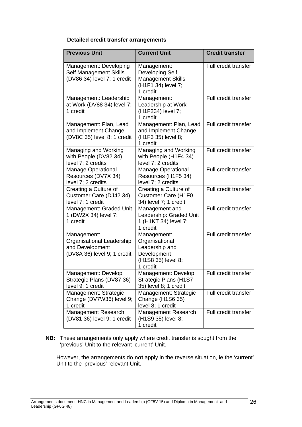#### **Detailed credit transfer arrangements**

| <b>Previous Unit</b>                                                                       | <b>Current Unit</b>                                                                              | <b>Credit transfer</b> |
|--------------------------------------------------------------------------------------------|--------------------------------------------------------------------------------------------------|------------------------|
| Management: Developing<br><b>Self Management Skills</b><br>(DV86 34) level 7; 1 credit     | Management:<br>Developing Self<br><b>Management Skills</b><br>(H1F1 34) level 7;<br>1 credit     | Full credit transfer   |
| Management: Leadership<br>at Work (DV88 34) level 7;<br>1 credit                           | Management:<br>Leadership at Work<br>(H1F234) level 7;<br>1 credit                               | Full credit transfer   |
| Management: Plan, Lead<br>and Implement Change<br>(DV8C 35) level 8; 1 credit              | Management: Plan, Lead<br>and Implement Change<br>(H1F3 35) level 8;<br>1 credit                 | Full credit transfer   |
| Managing and Working<br>with People (DV82 34)<br>level 7; 2 credits                        | Managing and Working<br>with People (H1F4 34)<br>level 7; 2 credits                              | Full credit transfer   |
| <b>Manage Operational</b><br>Resources (DV7X 34)<br>level 7; 2 credits                     | <b>Manage Operational</b><br>Resources (H1F5 34)<br>level 7; 2 credits                           | Full credit transfer   |
| Creating a Culture of<br>Customer Care (DJ42 34)<br>level 7; 1 credit                      | Creating a Culture of<br><b>Customer Care (H1F0</b><br>34) level 7; 1 credit                     | Full credit transfer   |
| Management: Graded Unit<br>1 (DW2X 34) level 7;<br>1 credit                                | Management and<br>Leadership: Graded Unit<br>1 (H1KT 34) level 7;<br>1 credit                    | Full credit transfer   |
| Management:<br>Organisational Leadership<br>and Development<br>(DV8A 36) level 9; 1 credit | Management:<br>Organisational<br>Leadership and<br>Development<br>(H1S8 35) level 8;<br>1 credit | Full credit transfer   |
| Management: Develop<br>Strategic Plans (DV87 36)<br>level 9; 1 credit                      | Management: Develop<br><b>Strategic Plans (H1S7</b><br>35) level 8; 1 credit                     | Full credit transfer   |
| Management: Strategic<br>Change (DV7W36) level 9;<br>1 credit                              | Management: Strategic<br>Change (H1S6 35)<br>level 8; 1 credit                                   | Full credit transfer   |
| Management Research<br>(DV81 36) level 9; 1 credit                                         | Management Research<br>(H1S9 35) level 8;<br>1 credit                                            | Full credit transfer   |

**NB:** These arrangements only apply where credit transfer is sought from the 'previous' Unit to the relevant 'current' Unit.

However, the arrangements do **not** apply in the reverse situation, ie the 'current' Unit to the 'previous' relevant Unit.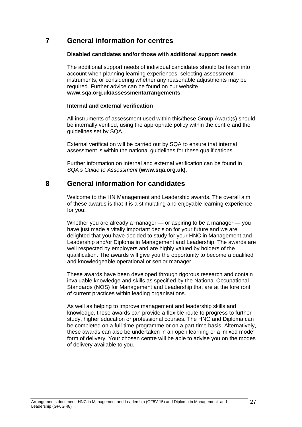## **7 General information for centres**

#### **Disabled candidates and/or those with additional support needs**

The additional support needs of individual candidates should be taken into account when planning learning experiences, selecting assessment instruments, or considering whether any reasonable adjustments may be required. Further advice can be found on our website **www.sqa.org.uk/assessmentarrangements**.

#### **Internal and external verification**

All instruments of assessment used within this/these Group Award(s) should be internally verified, using the appropriate policy within the centre and the guidelines set by SQA.

External verification will be carried out by SQA to ensure that internal assessment is within the national guidelines for these qualifications.

Further information on internal and external verification can be found in *SQA's Guide to Assessment* **(www.sqa.org.uk)**.

## **8 General information for candidates**

Welcome to the HN Management and Leadership awards. The overall aim of these awards is that it is a stimulating and enjoyable learning experience for you.

Whether you are already a manager — or aspiring to be a manager — you have just made a vitally important decision for your future and we are delighted that you have decided to study for your HNC in Management and Leadership and/or Diploma in Management and Leadership. The awards are well respected by employers and are highly valued by holders of the qualification. The awards will give you the opportunity to become a qualified and knowledgeable operational or senior manager.

These awards have been developed through rigorous research and contain invaluable knowledge and skills as specified by the National Occupational Standards (NOS) for Management and Leadership that are at the forefront of current practices within leading organisations.

As well as helping to improve management and leadership skills and knowledge, these awards can provide a flexible route to progress to further study, higher education or professional courses. The HNC and Diploma can be completed on a full-time programme or on a part-time basis. Alternatively, these awards can also be undertaken in an open learning or a 'mixed mode' form of delivery. Your chosen centre will be able to advise you on the modes of delivery available to you.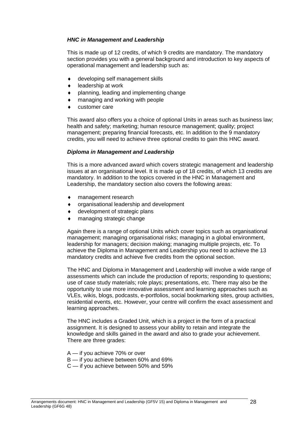#### *HNC in Management and Leadership*

This is made up of 12 credits, of which 9 credits are mandatory. The mandatory section provides you with a general background and introduction to key aspects of operational management and leadership such as:

- developing self management skills
- ◆ leadership at work
- planning, leading and implementing change
- managing and working with people
- customer care

This award also offers you a choice of optional Units in areas such as business law; health and safety; marketing; human resource management; quality; project management; preparing financial forecasts, etc. In addition to the 9 mandatory credits, you will need to achieve three optional credits to gain this HNC award.

#### *Diploma in Management and Leadership*

This is a more advanced award which covers strategic management and leadership issues at an organisational level. It is made up of 18 credits, of which 13 credits are mandatory. In addition to the topics covered in the HNC in Management and Leadership, the mandatory section also covers the following areas:

- management research
- organisational leadership and development
- development of strategic plans
- managing strategic change

Again there is a range of optional Units which cover topics such as organisational management; managing organisational risks; managing in a global environment, leadership for managers; decision making; managing multiple projects, etc. To achieve the Diploma in Management and Leadership you need to achieve the 13 mandatory credits and achieve five credits from the optional section.

The HNC and Diploma in Management and Leadership will involve a wide range of assessments which can include the production of reports; responding to questions; use of case study materials; role plays; presentations, etc. There may also be the opportunity to use more innovative assessment and learning approaches such as VLEs, wikis, blogs, podcasts, e-portfolios, social bookmarking sites, group activities, residential events, etc. However, your centre will confirm the exact assessment and learning approaches.

The HNC includes a Graded Unit, which is a project in the form of a practical assignment. It is designed to assess your ability to retain and integrate the knowledge and skills gained in the award and also to grade your achievement. There are three grades:

- A if you achieve 70% or over
- B if you achieve between 60% and 69%
- C if you achieve between 50% and 59%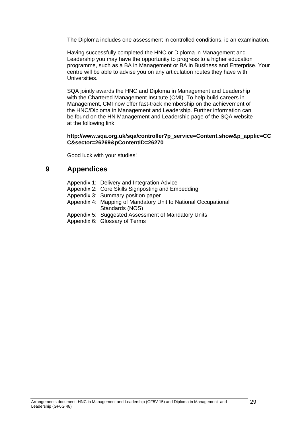The Diploma includes one assessment in controlled conditions, ie an examination.

Having successfully completed the HNC or Diploma in Management and Leadership you may have the opportunity to progress to a higher education programme, such as a BA in Management or BA in Business and Enterprise. Your centre will be able to advise you on any articulation routes they have with Universities.

SQA jointly awards the HNC and Diploma in Management and Leadership with the Chartered Management Institute (CMI). To help build careers in Management, CMI now offer fast-track membership on the achievement of the HNC/Diploma in Management and Leadership. Further information can be found on the HN Management and Leadership page of the SQA website at the following link

#### **http://www.sqa.org.uk/sqa/controller?p\_service=Content.show&p\_applic=CC C&sector=26269&pContentID=26270**

Good luck with your studies!

## **9 Appendices**

| Appendix 1: Delivery and Integration Advice                    |
|----------------------------------------------------------------|
| Appendix 2: Core Skills Signposting and Embedding              |
| Appendix 3: Summary position paper                             |
| Appendix 4: Mapping of Mandatory Unit to National Occupational |
| Standards (NOS)                                                |
| Appendix 5: Suggested Assessment of Mandatory Units            |
| Appendix 6: Glossary of Terms                                  |
|                                                                |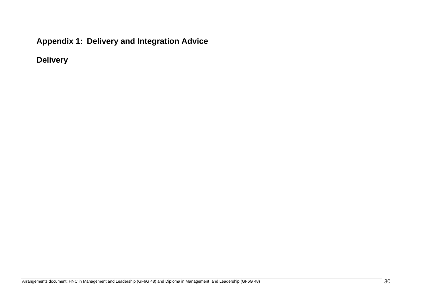## **Appendix 1: Delivery and Integration Advice**

**Delivery**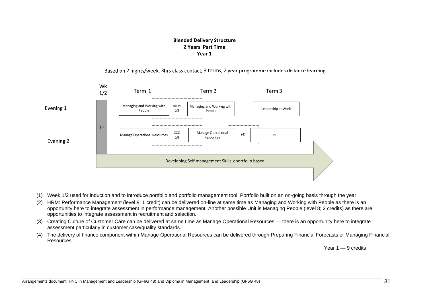#### **Blended Delivery Structure** 2 Years Part Time Year 1

Based on 2 nights/week, 3hrs class contact, 3 terms, 2 year programme includes distance learning



- (1) Week 1/2 used for induction and to introduce portfolio and portfolio management tool. Portfolio built on an on-going basis through the year.
- (2) HRM: Performance Management (level 8; 1 credit) can be delivered on-line at same time as Managing and Working with People as there is an opportunity here to integrate assessment in performance management. Another possible Unit is Managing People (level 8; 2 credits) as there are opportunities to integrate assessment in recruitment and selection.
- (3) Creating Culture of Customer Care can be delivered at same time as Manage Operational Resources there is an opportunity here to integrate assessment particularly in customer case/quality standards.
- (4) The delivery of finance component within Manage Operational Resources can be delivered through Preparing Financial Forecasts or Managing Financial Resources.

Year 1 – 9 credits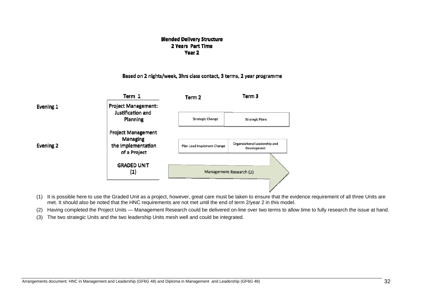#### **Blended Delivery Structure** 2 Years Part Time Year 2

#### Based on 2 nights/week, 3hrs class contact, 3 terms, 2 year programme



- (1) It is possible here to use the Graded Unit as a project, however, great care must be taken to ensure that the evidence requirement of all three Units are met. It should also be noted that the HNC requirements are not met until the end of term 2/year 2 in this model.
- (2) Having completed the Project Units Management Research could be delivered on-line over two terms to allow time to fully research the issue at hand.
- (3) The two strategic Units and the two leadership Units mesh well and could be integrated.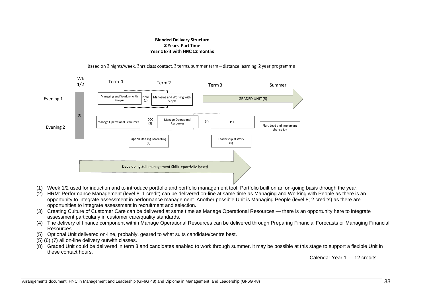#### **Blended Delivery Structure** 2 Years Part Time Year 1 Exit with HNC 12 months



Based on 2 nights/week, 3hrs class contact, 3 terms, summer term - distance learning 2 year programme

- (1) Week 1/2 used for induction and to introduce portfolio and portfolio management tool. Portfolio built on an on-going basis through the year.
- $(2)$  HRM: Performance Management (level 8; 1 credit) can be delivered on-line at same time as Managing and Working with People as there is an opportunity to integrate assessment in performance management. Another possible Unit is Managing People (level 8; 2 credits) as there are opportunities to integrate assessment in recruitment and selection.
- (3) Creating Culture of Customer Care can be delivered at same time as Manage Operational Resources there is an opportunity here to integrate assessment particularly in customer care/quality standards.
- (4) The delivery of finance component within Manage Operational Resources can be delivered through Preparing Financial Forecasts or Managing Financial Resources.
- (5) Optional Unit delivered on-line, probably, geared to what suits candidate/centre best.
- (5) (6) (7) all on-line delivery outwith classes.
- (8) Graded Unit could be delivered in term 3 and candidates enabled to work through summer. it may be possible at this stage to support a flexible Unit in these contact hours.

Calendar Year 1 — 12 credits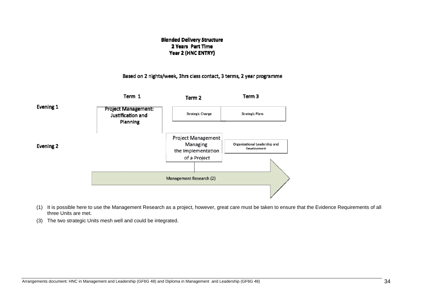#### **Blended Delivery Structure** 2 Years Part Time Year 2 (HNC ENTRY)

#### Based on 2 nights/week, 3hrs class contact, 3 terms, 2 year programme



- (1) It is possible here to use the Management Research as a project, however, great care must be taken to ensure that the Evidence Requirements of all three Units are met.
- (3) The two strategic Units mesh well and could be integrated.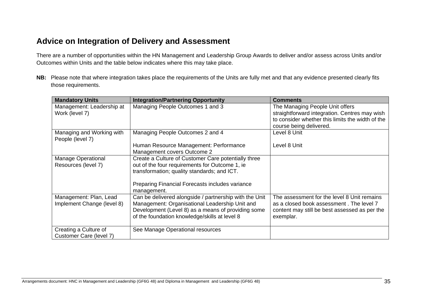## **Advice on Integration of Delivery and Assessment**

There are a number of opportunities within the HN Management and Leadership Group Awards to deliver and/or assess across Units and/or Outcomes within Units and the table below indicates where this may take place.

**NB:** Please note that where integration takes place the requirements of the Units are fully met and that any evidence presented clearly fits those requirements.

| <b>Mandatory Units</b>                        | <b>Integration/Partnering Opportunity</b>                             | <b>Comments</b>                                                                                                                                                 |
|-----------------------------------------------|-----------------------------------------------------------------------|-----------------------------------------------------------------------------------------------------------------------------------------------------------------|
| Management: Leadership at<br>Work (level 7)   | Managing People Outcomes 1 and 3                                      | The Managing People Unit offers<br>straightforward integration. Centres may wish<br>to consider whether this limits the width of the<br>course being delivered. |
| Managing and Working with<br>People (level 7) | Managing People Outcomes 2 and 4                                      | Level 8 Unit                                                                                                                                                    |
|                                               | Human Resource Management: Performance<br>Management covers Outcome 2 | Level 8 Unit                                                                                                                                                    |
| <b>Manage Operational</b>                     | Create a Culture of Customer Care potentially three                   |                                                                                                                                                                 |
| Resources (level 7)                           | out of the four requirements for Outcome 1, ie                        |                                                                                                                                                                 |
|                                               | transformation; quality standards; and ICT.                           |                                                                                                                                                                 |
|                                               | Preparing Financial Forecasts includes variance                       |                                                                                                                                                                 |
|                                               | management.                                                           |                                                                                                                                                                 |
| Management: Plan, Lead                        | Can be delivered alongside / partnership with the Unit                | The assessment for the level 8 Unit remains                                                                                                                     |
| Implement Change (level 8)                    | Management: Organisational Leadership Unit and                        | as a closed book assessment. The level 7                                                                                                                        |
|                                               | Development (Level 8) as a means of providing some                    | content may still be best assessed as per the                                                                                                                   |
|                                               | of the foundation knowledge/skills at level 8                         | exemplar.                                                                                                                                                       |
| Creating a Culture of                         | See Manage Operational resources                                      |                                                                                                                                                                 |
| Customer Care (level 7)                       |                                                                       |                                                                                                                                                                 |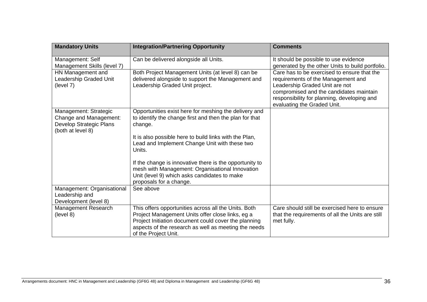| <b>Mandatory Units</b>                                                                          | <b>Integration/Partnering Opportunity</b>                                                                                                                                                                                                                                                                                                                                                                                                 | <b>Comments</b>                                                                                                                                                                                                                              |
|-------------------------------------------------------------------------------------------------|-------------------------------------------------------------------------------------------------------------------------------------------------------------------------------------------------------------------------------------------------------------------------------------------------------------------------------------------------------------------------------------------------------------------------------------------|----------------------------------------------------------------------------------------------------------------------------------------------------------------------------------------------------------------------------------------------|
| Management: Self<br>Management Skills (level 7)                                                 | Can be delivered alongside all Units.                                                                                                                                                                                                                                                                                                                                                                                                     | It should be possible to use evidence<br>generated by the other Units to build portfolio.                                                                                                                                                    |
| HN Management and<br><b>Leadership Graded Unit</b><br>(level 7)                                 | Both Project Management Units (at level 8) can be<br>delivered alongside to support the Management and<br>Leadership Graded Unit project.                                                                                                                                                                                                                                                                                                 | Care has to be exercised to ensure that the<br>requirements of the Management and<br>Leadership Graded Unit are not<br>compromised and the candidates maintain<br>responsibility for planning, developing and<br>evaluating the Graded Unit. |
| Management: Strategic<br>Change and Management:<br>Develop Strategic Plans<br>(both at level 8) | Opportunities exist here for meshing the delivery and<br>to identify the change first and then the plan for that<br>change.<br>It is also possible here to build links with the Plan,<br>Lead and Implement Change Unit with these two<br>Units.<br>If the change is innovative there is the opportunity to<br>mesh with Management: Organisational Innovation<br>Unit (level 9) which asks candidates to make<br>proposals for a change. |                                                                                                                                                                                                                                              |
| Management: Organisational<br>Leadership and<br>Development (level 8)                           | See above                                                                                                                                                                                                                                                                                                                                                                                                                                 |                                                                                                                                                                                                                                              |
| Management Research<br>(level 8)                                                                | This offers opportunities across all the Units. Both<br>Project Management Units offer close links, eg a<br>Project Initiation document could cover the planning<br>aspects of the research as well as meeting the needs<br>of the Project Unit.                                                                                                                                                                                          | Care should still be exercised here to ensure<br>that the requirements of all the Units are still<br>met fully.                                                                                                                              |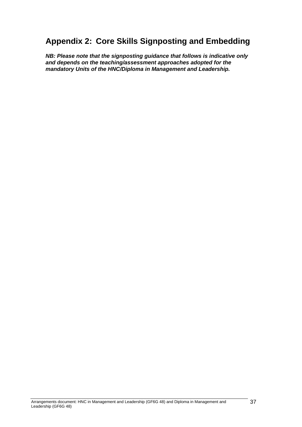## **Appendix 2: Core Skills Signposting and Embedding**

*NB: Please note that the signposting guidance that follows is indicative only and depends on the teaching/assessment approaches adopted for the mandatory Units of the HNC/Diploma in Management and Leadership.* 

Arrangements document: HNC in Management and Leadership (GF6G 48) and Diploma in Management and Leadership (GF6G 48)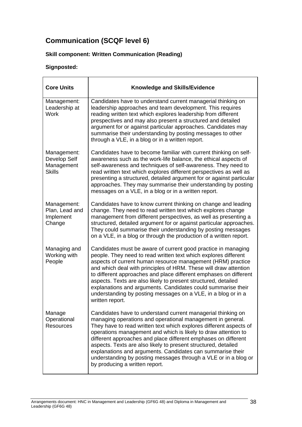## **Communication (SCQF level 6)**

## **Skill component: Written Communication (Reading)**

| <b>Core Units</b>                                          | <b>Knowledge and Skills/Evidence</b>                                                                                                                                                                                                                                                                                                                                                                                                                                                                                                                                      |
|------------------------------------------------------------|---------------------------------------------------------------------------------------------------------------------------------------------------------------------------------------------------------------------------------------------------------------------------------------------------------------------------------------------------------------------------------------------------------------------------------------------------------------------------------------------------------------------------------------------------------------------------|
| Management:<br>Leadership at<br><b>Work</b>                | Candidates have to understand current managerial thinking on<br>leadership approaches and team development. This requires<br>reading written text which explores leadership from different<br>prespectives and may also present a structured and detailed<br>argument for or against particular approaches. Candidates may<br>summarise their understanding by posting messages to other<br>through a VLE, in a blog or in a written report.                                                                                                                              |
| Management:<br>Develop Self<br>Management<br><b>Skills</b> | Candidates have to become familiar with current thinking on self-<br>awareness such as the work-life balance, the ethical aspects of<br>self-awareness and techniques of self-awareness. They need to<br>read written text which explores different perspectives as well as<br>presenting a structured, detailed argument for or against particular<br>approaches. They may summarise their understanding by posting<br>messages on a VLE, in a blog or in a written report.                                                                                              |
| Management:<br>Plan, Lead and<br>Implement<br>Change       | Candidates have to know current thinking on change and leading<br>change. They need to read written text which explores change<br>management from different perspectives, as well as presenting a<br>structured, detailed argument for or against particular approaches.<br>They could summarise their understanding by posting messages<br>on a VLE, in a blog or through the production of a written report.                                                                                                                                                            |
| Managing and<br>Working with<br>People                     | Candidates must be aware of current good practice in managing<br>people. They need to read written text which explores different<br>aspects of current human resource management (HRM) practice<br>and which deal with principles of HRM. These will draw attention<br>to different approaches and place different emphases on different<br>aspects. Texts are also likely to present structured, detailed<br>explanations and arguments. Candidates could summarise their<br>understanding by posting messages on a VLE, in a blog or in a<br>written report.            |
| Manage<br>Operational<br><b>Resources</b>                  | Candidates have to understand current managerial thinking on<br>managing operations and operational management in general.<br>They have to read written text which explores different aspects of<br>operations management and which is likely to draw attention to<br>different approaches and place different emphases on different<br>aspects. Texts are also likely to present structured, detailed<br>explanations and arguments. Candidates can summarise their<br>understanding by posting messages through a VLE or in a blog or<br>by producing a written report. |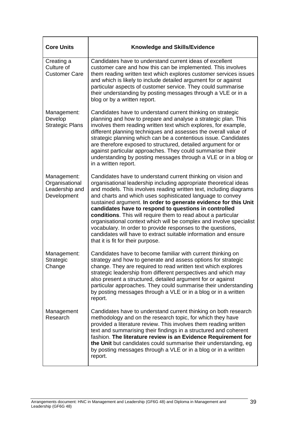| <b>Core Units</b>                                              | <b>Knowledge and Skills/Evidence</b>                                                                                                                                                                                                                                                                                                                                                                                                                                                                                                                                                                                                                                                                             |
|----------------------------------------------------------------|------------------------------------------------------------------------------------------------------------------------------------------------------------------------------------------------------------------------------------------------------------------------------------------------------------------------------------------------------------------------------------------------------------------------------------------------------------------------------------------------------------------------------------------------------------------------------------------------------------------------------------------------------------------------------------------------------------------|
| Creating a<br>Culture of<br><b>Customer Care</b>               | Candidates have to understand current ideas of excellent<br>customer care and how this can be implemented. This involves<br>them reading written text which explores customer services issues<br>and which is likely to include detailed argument for or against<br>particular aspects of customer service. They could summarise<br>their understanding by posting messages through a VLE or in a<br>blog or by a written report.                                                                                                                                                                                                                                                                                |
| Management:<br>Develop<br><b>Strategic Plans</b>               | Candidates have to understand current thinking on strategic<br>planning and how to prepare and analyse a strategic plan. This<br>involves them reading written text which explores, for example,<br>different planning techniques and assesses the overall value of<br>strategic planning which can be a contentious issue. Candidates<br>are therefore exposed to structured, detailed argument for or<br>against particular approaches. They could summarise their<br>understanding by posting messages through a VLE or in a blog or<br>in a written report.                                                                                                                                                  |
| Management:<br>Organisational<br>Leadership and<br>Development | Candidates have to understand current thinking on vision and<br>organisational leadership including appropriate theoretical ideas<br>and models. This involves reading written text, including diagrams<br>and charts and which uses sophisticated language to convey<br>sustained argument. In order to generate evidence for this Unit<br>candidates have to respond to questions in controlled<br>conditions. This will require them to read about a particular<br>organisational context which will be complex and involve specialist<br>vocabulary. In order to provide responses to the questions,<br>candidates will have to extract suitable information and ensure<br>that it is fit for their purpose. |
| Management:<br>Strategic<br>Change                             | Candidates have to become familiar with current thinking on<br>strategy and how to generate and assess options for strategic<br>change. They are required to read written text which explores<br>strategic leadership from different perspectives and which may<br>also present a structured, detailed argument for or against<br>particular approaches. They could summarise their understanding<br>by posting messages through a VLE or in a blog or in a written<br>report.                                                                                                                                                                                                                                   |
| Management<br>Research                                         | Candidates have to understand current thinking on both research<br>methodology and on the research topic, for which they have<br>provided a literature review. This involves them reading written<br>text and summarising their findings in a structured and coherent<br>fashion. The literature review is an Evidence Requirement for<br>the Unit but candidates could summarise their understanding, eg<br>by posting messages through a VLE or in a blog or in a written<br>report.                                                                                                                                                                                                                           |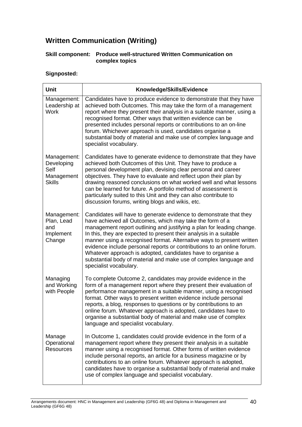## **Written Communication (Writing)**

## **Skill component: Produce well-structured Written Communication on complex topics**

| <b>Unit</b>                                                      | Knowledge/Skills/Evidence                                                                                                                                                                                                                                                                                                                                                                                                                                                                                                                                                                      |
|------------------------------------------------------------------|------------------------------------------------------------------------------------------------------------------------------------------------------------------------------------------------------------------------------------------------------------------------------------------------------------------------------------------------------------------------------------------------------------------------------------------------------------------------------------------------------------------------------------------------------------------------------------------------|
| Management:<br>Leadership at<br><b>Work</b>                      | Candidates have to produce evidence to demonstrate that they have<br>achieved both Outcomes. This may take the form of a management<br>report where they present their analysis in a suitable manner, using a<br>recognised format. Other ways that written evidence can be<br>presented includes personal reports or contributions to an on-line<br>forum. Whichever approach is used, candidates organise a<br>substantial body of material and make use of complex language and<br>specialist vocabulary.                                                                                   |
| Management:<br>Developing<br>Self<br>Management<br><b>Skills</b> | Candidates have to generate evidence to demonstrate that they have<br>achieved both Outcomes of this Unit. They have to produce a<br>personal development plan, devising clear personal and career<br>objectives. They have to evaluate and reflect upon their plan by<br>drawing reasoned conclusions on what worked well and what lessons<br>can be learned for future. A portfolio method of assessment is<br>particularly suited to this Unit and they can also contribute to<br>discussion forums, writing blogs and wikis, etc.                                                          |
| Management:<br>Plan, Lead<br>and<br>Implement<br>Change          | Candidates will have to generate evidence to demonstrate that they<br>have achieved all Outcomes, which may take the form of a<br>management report outlining and justifying a plan for leading change.<br>In this, they are expected to present their analysis in a suitable<br>manner using a recognised format. Alternative ways to present written<br>evidence include personal reports or contributions to an online forum.<br>Whatever approach is adopted, candidates have to organise a<br>substantial body of material and make use of complex language and<br>specialist vocabulary. |
| Managing<br>and Working<br>with People                           | To complete Outcome 2, candidates may provide evidence in the<br>form of a management report where they present their evaluation of<br>performance management in a suitable manner, using a recognised<br>format. Other ways to present written evidence include personal<br>reports, a blog, responses to questions or by contributions to an<br>online forum. Whatever approach is adopted, candidates have to<br>organise a substantial body of material and make use of complex<br>language and specialist vocabulary.                                                                     |
| Manage<br>Operational<br><b>Resources</b>                        | In Outcome 1, candidates could provide evidence in the form of a<br>management report where they present their analysis in a suitable<br>manner using a recognised format. Other forms of written evidence<br>include personal reports, an article for a business magazine or by<br>contributions to an online forum. Whatever approach is adopted,<br>candidates have to organise a substantial body of material and make<br>use of complex language and specialist vocabulary.                                                                                                               |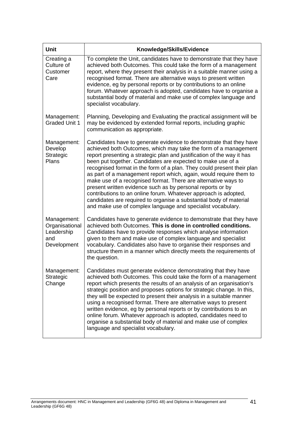| Unit                                                              | Knowledge/Skills/Evidence                                                                                                                                                                                                                                                                                                                                                                                                                                                                                                                                                                                                                                                                                                                                              |
|-------------------------------------------------------------------|------------------------------------------------------------------------------------------------------------------------------------------------------------------------------------------------------------------------------------------------------------------------------------------------------------------------------------------------------------------------------------------------------------------------------------------------------------------------------------------------------------------------------------------------------------------------------------------------------------------------------------------------------------------------------------------------------------------------------------------------------------------------|
| Creating a<br>Culture of<br>Customer<br>Care                      | To complete the Unit, candidates have to demonstrate that they have<br>achieved both Outcomes. This could take the form of a management<br>report, where they present their analysis in a suitable manner using a<br>recognised format. There are alternative ways to present written<br>evidence, eg by personal reports or by contributions to an online<br>forum. Whatever approach is adopted, candidates have to organise a<br>substantial body of material and make use of complex language and<br>specialist vocabulary.                                                                                                                                                                                                                                        |
| Management:<br><b>Graded Unit 1</b>                               | Planning, Developing and Evaluating the practical assignment will be<br>may be evidenced by extended formal reports, including graphic<br>communication as appropriate.                                                                                                                                                                                                                                                                                                                                                                                                                                                                                                                                                                                                |
| Management:<br>Develop<br>Strategic<br>Plans                      | Candidates have to generate evidence to demonstrate that they have<br>achieved both Outcomes, which may take the form of a management<br>report presenting a strategic plan and justification of the way it has<br>been put together. Candidates are expected to make use of a<br>recognised format in the form of a plan. They could present their plan<br>as part of a management report which, again, would require them to<br>make use of a recognised format. There are alternative ways to<br>present written evidence such as by personal reports or by<br>contributions to an online forum. Whatever approach is adopted,<br>candidates are required to organise a substantial body of material<br>and make use of complex language and specialist vocabulary. |
| Management:<br>Organisational<br>Leadership<br>and<br>Development | Candidates have to generate evidence to demonstrate that they have<br>achieved both Outcomes. This is done in controlled conditions.<br>Candidates have to provide responses which analyse information<br>given to them and make use of complex language and specialist<br>vocabulary. Candidates also have to organise their responses and<br>structure them in a manner which directly meets the requirements of<br>the question.                                                                                                                                                                                                                                                                                                                                    |
| Management:<br>Strategic<br>Change                                | Candidates must generate evidence demonstrating that they have<br>achieved both Outcomes. This could take the form of a management<br>report which presents the results of an analysis of an organisation's<br>strategic position and proposes options for strategic change. In this,<br>they will be expected to present their analysis in a suitable manner<br>using a recognised format. There are alternative ways to present<br>written evidence, eg by personal reports or by contributions to an<br>online forum. Whatever approach is adopted, candidates need to<br>organise a substantial body of material and make use of complex<br>language and specialist vocabulary.                                                                                    |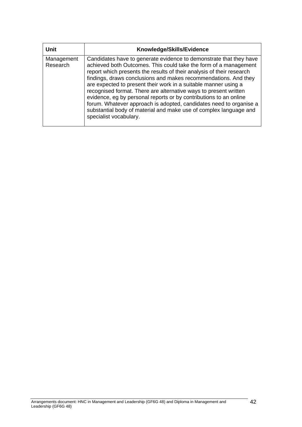| <b>Unit</b>            | Knowledge/Skills/Evidence                                                                                                                                                                                                                                                                                                                                                                                                                                                                                                                                                                                                                                           |
|------------------------|---------------------------------------------------------------------------------------------------------------------------------------------------------------------------------------------------------------------------------------------------------------------------------------------------------------------------------------------------------------------------------------------------------------------------------------------------------------------------------------------------------------------------------------------------------------------------------------------------------------------------------------------------------------------|
| Management<br>Research | Candidates have to generate evidence to demonstrate that they have<br>achieved both Outcomes. This could take the form of a management<br>report which presents the results of their analysis of their research<br>findings, draws conclusions and makes recommendations. And they<br>are expected to present their work in a suitable manner using a<br>recognised format. There are alternative ways to present written<br>evidence, eg by personal reports or by contributions to an online<br>forum. Whatever approach is adopted, candidates need to organise a<br>substantial body of material and make use of complex language and<br>specialist vocabulary. |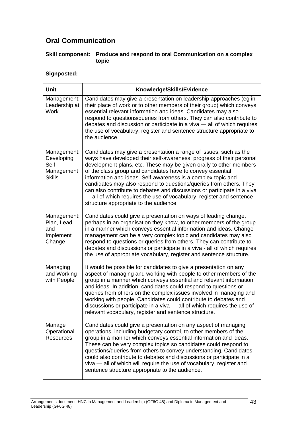## **Oral Communication**

### **Skill component: Produce and respond to oral Communication on a complex topic**

| Unit                                                             | Knowledge/Skills/Evidence                                                                                                                                                                                                                                                                                                                                                                                                                                                                                                                                                                                        |
|------------------------------------------------------------------|------------------------------------------------------------------------------------------------------------------------------------------------------------------------------------------------------------------------------------------------------------------------------------------------------------------------------------------------------------------------------------------------------------------------------------------------------------------------------------------------------------------------------------------------------------------------------------------------------------------|
| Management:<br>Leadership at<br><b>Work</b>                      | Candidates may give a presentation on leadership approaches (eg in<br>their place of work or to other members of their group) which conveys<br>essential relevant information and ideas. Candidates may also<br>respond to questions/queries from others. They can also contribute to<br>debates and discussion or participate in a viva - all of which requires<br>the use of vocabulary, register and sentence structure appropriate to<br>the audience.                                                                                                                                                       |
| Management:<br>Developing<br>Self<br>Management<br><b>Skills</b> | Candidates may give a presentation a range of issues, such as the<br>ways have developed their self-awareness; progress of their personal<br>development plans, etc. These may be given orally to other members<br>of the class group and candidates have to convey essential<br>information and ideas. Self-awareness is a complex topic and<br>candidates may also respond to questions/queries from others. They<br>can also contribute to debates and discussions or participate in a viva<br>- all of which requires the use of vocabulary, register and sentence<br>structure appropriate to the audience. |
| Management:<br>Plan, Lead<br>and<br>Implement<br>Change          | Candidates could give a presentation on ways of leading change,<br>perhaps in an organisation they know, to other members of the group<br>in a manner which conveys essential information and ideas. Change<br>management can be a very complex topic and candidates may also<br>respond to questions or queries from others. They can contribute to<br>debates and discussions or participate in a viva - all of which requires<br>the use of appropriate vocabulary, register and sentence structure.                                                                                                          |
| Managing<br>and Working<br>with People                           | It would be possible for candidates to give a presentation on any<br>aspect of managing and working with people to other members of the<br>group in a manner which conveys essential and relevant information<br>and ideas. In addition, candidates could respond to questions or<br>queries from others on the complex issues involved in managing and<br>working with people. Candidates could contribute to debates and<br>discussions or participate in a viva - all of which requires the use of<br>relevant vocabulary, register and sentence structure.                                                   |
| Manage<br>Operational<br><b>Resources</b>                        | Candidates could give a presentation on any aspect of managing<br>operations, including budgetary control, to other members of the<br>group in a manner which conveys essential information and ideas.<br>These can be very complex topics so candidates could respond to<br>questions/queries from others to convey understanding. Candidates<br>could also contribute to debates and discussions or participate in a<br>viva - all of which will require the use of vocabulary, register and<br>sentence structure appropriate to the audience.                                                                |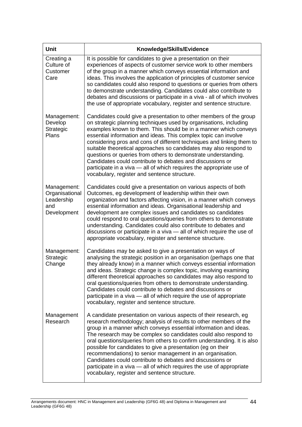| <b>Unit</b>                                                       | Knowledge/Skills/Evidence                                                                                                                                                                                                                                                                                                                                                                                                                                                                                                                                                                                                                                                           |
|-------------------------------------------------------------------|-------------------------------------------------------------------------------------------------------------------------------------------------------------------------------------------------------------------------------------------------------------------------------------------------------------------------------------------------------------------------------------------------------------------------------------------------------------------------------------------------------------------------------------------------------------------------------------------------------------------------------------------------------------------------------------|
| Creating a<br>Culture of<br>Customer<br>Care                      | It is possible for candidates to give a presentation on their<br>experiences of aspects of customer service work to other members<br>of the group in a manner which conveys essential information and<br>ideas. This involves the application of principles of customer service<br>so candidates could also respond to questions or queries from others<br>to demonstrate understanding. Candidates could also contribute to<br>debates and discussions or participate in a viva - all of which involves<br>the use of appropriate vocabulary, register and sentence structure.                                                                                                     |
| Management:<br>Develop<br>Strategic<br>Plans                      | Candidates could give a presentation to other members of the group<br>on strategic planning techniques used by organisations, including<br>examples known to them. This should be in a manner which conveys<br>essential information and ideas. This complex topic can involve<br>considering pros and cons of different techniques and linking them to<br>suitable theoretical approaches so candidates may also respond to<br>questions or queries from others to demonstrate understanding.<br>Candidates could contribute to debates and discussions or<br>participate in a viva - all of which requires the appropriate use of<br>vocabulary, register and sentence structure. |
| Management:<br>Organisational<br>Leadership<br>and<br>Development | Candidates could give a presentation on various aspects of both<br>Outcomes, eg development of leadership within their own<br>organization and factors affecting vision, in a manner which conveys<br>essential information and ideas. Organisational leadership and<br>development are complex issues and candidates so candidates<br>could respond to oral questions/queries from others to demonstrate<br>understanding. Candidates could also contribute to debates and<br>discussions or participate in a viva - all of which require the use of<br>appropriate vocabulary, register and sentence structure.                                                                   |
| Management:<br>Strategic<br>Change                                | Candidates may be asked to give a presentation on ways of<br>analysing the strategic position in an organisation (perhaps one that<br>they already know) in a manner which conveys essential information<br>and ideas. Strategic change is complex topic, involving examining<br>different theoretical approaches so candidates may also respond to<br>oral questions/queries from others to demonstrate understanding.<br>Candidates could contribute to debates and discussions or<br>participate in a viva - all of which require the use of appropriate<br>vocabulary, register and sentence structure.                                                                         |
| Management<br>Research                                            | A candidate presentation on various aspects of their research, eg<br>research methodology; analysis of results to other members of the<br>group in a manner which conveys essential information and ideas.<br>The research may be complex so candidates could also respond to<br>oral questions/queries from others to confirm understanding. It is also<br>possible for candidates to give a presentation (eg on their<br>recommendations) to senior management in an organisation.<br>Candidates could contribute to debates and discussions or<br>participate in a viva - all of which requires the use of appropriate<br>vocabulary, register and sentence structure.           |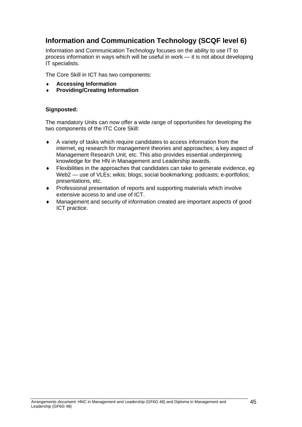## **Information and Communication Technology (SCQF level 6)**

Information and Communication Technology focuses on the ability to use IT to process information in ways which will be useful in work — it is not about developing IT specialists.

The Core Skill in ICT has two components:

- **Accessing Information**
- **Providing/Creating Information**

#### **Signposted:**

The mandatory Units can now offer a wide range of opportunities for developing the two components of the ITC Core Skill:

- A variety of tasks which require candidates to access information from the internet, eg research for management theories and approaches; a key aspect of Management Research Unit, etc. This also provides essential underpinning knowledge for the HN in Management and Leadership awards.
- $\bullet$  Flexibilities in the approaches that candidates can take to generate evidence, eg Web2 — use of VLEs; wikis; blogs; social bookmarking; podcasts; e-portfolios; presentations, etc.
- Professional presentation of reports and supporting materials which involve extensive access to and use of ICT.
- Management and security of information created are important aspects of good ICT practice.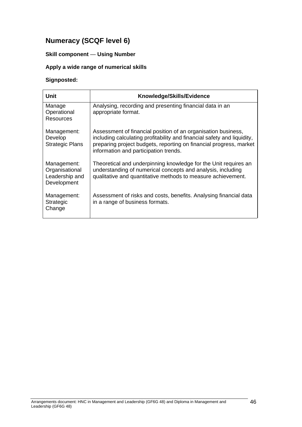## **Numeracy (SCQF level 6)**

## **Skill component** — **Using Number**

### **Apply a wide range of numerical skills**

| <b>Unit</b>                                                    | Knowledge/Skills/Evidence                                                                                                                                                                                                                               |  |  |  |
|----------------------------------------------------------------|---------------------------------------------------------------------------------------------------------------------------------------------------------------------------------------------------------------------------------------------------------|--|--|--|
| Manage<br>Operational<br>Resources                             | Analysing, recording and presenting financial data in an<br>appropriate format.                                                                                                                                                                         |  |  |  |
| Management:<br>Develop<br><b>Strategic Plans</b>               | Assessment of financial position of an organisation business,<br>including calculating profitability and financial safety and liquidity,<br>preparing project budgets, reporting on financial progress, market<br>information and participation trends. |  |  |  |
| Management:<br>Organisational<br>Leadership and<br>Development | Theoretical and underpinning knowledge for the Unit requires an<br>understanding of numerical concepts and analysis, including<br>qualitative and quantitative methods to measure achievement.                                                          |  |  |  |
| Management:<br><b>Strategic</b><br>Change                      | Assessment of risks and costs, benefits. Analysing financial data<br>in a range of business formats.                                                                                                                                                    |  |  |  |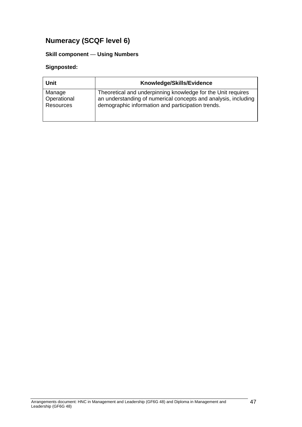## **Numeracy (SCQF level 6)**

## **Skill component** — **Using Numbers**

| Unit             | Knowledge/Skills/Evidence                                      |  |  |
|------------------|----------------------------------------------------------------|--|--|
| Manage           | Theoretical and underpinning knowledge for the Unit requires   |  |  |
| Operational      | an understanding of numerical concepts and analysis, including |  |  |
| <b>Resources</b> | demographic information and participation trends.              |  |  |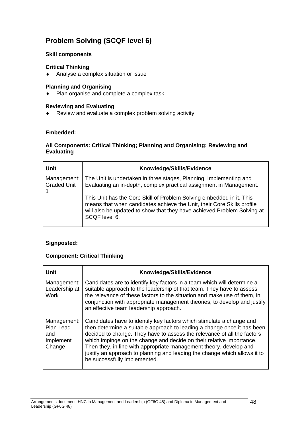## **Problem Solving (SCQF level 6)**

#### **Skill components**

#### **Critical Thinking**

Analyse a complex situation or issue

#### **Planning and Organising**

◆ Plan organise and complete a complex task

#### **Reviewing and Evaluating**

Review and evaluate a complex problem solving activity

#### **Embedded:**

#### **All Components: Critical Thinking; Planning and Organising; Reviewing and Evaluating**

| Unit                              | Knowledge/Skills/Evidence                                                                                                                                                                                                                  |  |
|-----------------------------------|--------------------------------------------------------------------------------------------------------------------------------------------------------------------------------------------------------------------------------------------|--|
| Management:<br><b>Graded Unit</b> | The Unit is undertaken in three stages, Planning, Implementing and<br>Evaluating an in-depth, complex practical assignment in Management.                                                                                                  |  |
|                                   | This Unit has the Core Skill of Problem Solving embedded in it. This<br>means that when candidates achieve the Unit, their Core Skills profile<br>will also be updated to show that they have achieved Problem Solving at<br>SCQF level 6. |  |

#### **Signposted:**

#### **Component: Critical Thinking**

| <b>Unit</b>                                            | Knowledge/Skills/Evidence                                                                                                                                                                                                                                                                                                                                                                                                                                                             |  |  |  |
|--------------------------------------------------------|---------------------------------------------------------------------------------------------------------------------------------------------------------------------------------------------------------------------------------------------------------------------------------------------------------------------------------------------------------------------------------------------------------------------------------------------------------------------------------------|--|--|--|
| Management:<br>Leadership at<br><b>Work</b>            | Candidates are to identify key factors in a team which will determine a<br>suitable approach to the leadership of that team. They have to assess<br>the relevance of these factors to the situation and make use of them, in<br>conjunction with appropriate management theories, to develop and justify<br>an effective team leadership approach.                                                                                                                                    |  |  |  |
| Management:<br>Plan Lead<br>and<br>Implement<br>Change | Candidates have to identify key factors which stimulate a change and<br>then determine a suitable approach to leading a change once it has been<br>decided to change. They have to assess the relevance of all the factors<br>which impinge on the change and decide on their relative importance.<br>Then they, in line with appropriate management theory, develop and<br>justify an approach to planning and leading the change which allows it to<br>be successfully implemented. |  |  |  |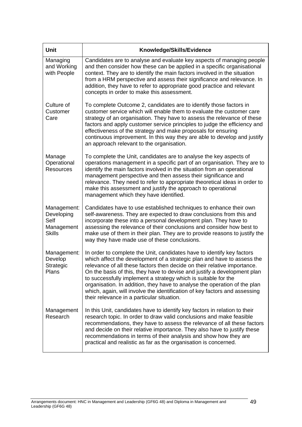| Unit                                                             | Knowledge/Skills/Evidence                                                                                                                                                                                                                                                                                                                                                                                                                                                                                                                                                            |  |
|------------------------------------------------------------------|--------------------------------------------------------------------------------------------------------------------------------------------------------------------------------------------------------------------------------------------------------------------------------------------------------------------------------------------------------------------------------------------------------------------------------------------------------------------------------------------------------------------------------------------------------------------------------------|--|
| Managing<br>and Working<br>with People                           | Candidates are to analyse and evaluate key aspects of managing people<br>and then consider how these can be applied in a specific organisational<br>context. They are to identify the main factors involved in the situation<br>from a HRM perspective and assess their significance and relevance. In<br>addition, they have to refer to appropriate good practice and relevant<br>concepts in order to make this assessment.                                                                                                                                                       |  |
| Culture of<br>Customer<br>Care                                   | To complete Outcome 2, candidates are to identify those factors in<br>customer service which will enable them to evaluate the customer care<br>strategy of an organisation. They have to assess the relevance of these<br>factors and apply customer service principles to judge the efficiency and<br>effectiveness of the strategy and make proposals for ensuring<br>continuous improvement. In this way they are able to develop and justify<br>an approach relevant to the organisation.                                                                                        |  |
| Manage<br>Operational<br>Resources                               | To complete the Unit, candidates are to analyse the key aspects of<br>operations management in a specific part of an organisation. They are to<br>identify the main factors involved in the situation from an operational<br>management perspective and then assess their significance and<br>relevance. They need to refer to appropriate theoretical ideas in order to<br>make this assessment and justify the approach to operational<br>management which they have identified.                                                                                                   |  |
| Management:<br>Developing<br>Self<br>Management<br><b>Skills</b> | Candidates have to use established techniques to enhance their own<br>self-awareness. They are expected to draw conclusions from this and<br>incorporate these into a personal development plan. They have to<br>assessing the relevance of their conclusions and consider how best to<br>make use of them in their plan. They are to provide reasons to justify the<br>way they have made use of these conclusions.                                                                                                                                                                 |  |
| Management:<br>Develop<br>Strategic<br>Plans                     | In order to complete the Unit, candidates have to identify key factors<br>which affect the development of a strategic plan and have to assess the<br>relevance of all these factors then decide on their relative importance.<br>On the basis of this, they have to devise and justify a development plan<br>to successfully implement a strategy which is suitable for the<br>organisation. In addition, they have to analyse the operation of the plan<br>which, again, will involve the identification of key factors and assessing<br>their relevance in a particular situation. |  |
| Management<br>Research                                           | In this Unit, candidates have to identify key factors in relation to their<br>research topic. In order to draw valid conclusions and make feasible<br>recommendations, they have to assess the relevance of all these factors<br>and decide on their relative importance. They also have to justify these<br>recommendations in terms of their analysis and show how they are<br>practical and realistic as far as the organisation is concerned.                                                                                                                                    |  |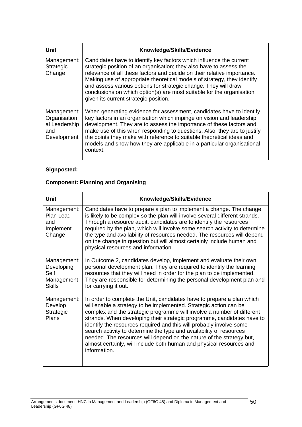| <b>Unit</b>                                                        | Knowledge/Skills/Evidence                                                                                                                                                                                                                                                                                                                                                                                                                                                             |  |  |  |
|--------------------------------------------------------------------|---------------------------------------------------------------------------------------------------------------------------------------------------------------------------------------------------------------------------------------------------------------------------------------------------------------------------------------------------------------------------------------------------------------------------------------------------------------------------------------|--|--|--|
| Management:<br>Strategic<br>Change                                 | Candidates have to identify key factors which influence the current<br>strategic position of an organisation; they also have to assess the<br>relevance of all these factors and decide on their relative importance.<br>Making use of appropriate theoretical models of strategy, they identify<br>and assess various options for strategic change. They will draw<br>conclusions on which option(s) are most suitable for the organisation<br>given its current strategic position. |  |  |  |
| Management:<br>Organisation<br>al Leadership<br>and<br>Development | When generating evidence for assessment, candidates have to identify<br>key factors in an organisation which impinge on vision and leadership<br>development. They are to assess the importance of these factors and<br>make use of this when responding to questions. Also, they are to justify<br>the points they make with reference to suitable theoretical ideas and<br>models and show how they are applicable in a particular organisational<br>context.                       |  |  |  |

## **Signposted:**

## **Component: Planning and Organising**

| <b>Unit</b>                                                      | Knowledge/Skills/Evidence                                                                                                                                                                                                                                                                                                                                                                                                                                                                                                                                                                                     |  |  |
|------------------------------------------------------------------|---------------------------------------------------------------------------------------------------------------------------------------------------------------------------------------------------------------------------------------------------------------------------------------------------------------------------------------------------------------------------------------------------------------------------------------------------------------------------------------------------------------------------------------------------------------------------------------------------------------|--|--|
| Management:<br>Plan Lead<br>and<br>Implement<br>Change           | Candidates have to prepare a plan to implement a change. The change<br>is likely to be complex so the plan will involve several different strands.<br>Through a resource audit, candidates are to identify the resources<br>required by the plan, which will involve some search activity to determine<br>the type and availability of resources needed. The resources will depend<br>on the change in question but will almost certainly include human and<br>physical resources and information.                                                                                                            |  |  |
| Management:<br>Developing<br>Self<br>Management<br><b>Skills</b> | In Outcome 2, candidates develop, implement and evaluate their own<br>personal development plan. They are required to identify the learning<br>resources that they will need in order for the plan to be implemented.<br>They are responsible for determining the personal development plan and<br>for carrying it out.                                                                                                                                                                                                                                                                                       |  |  |
| Management:<br>Develop<br>Strategic<br>Plans                     | In order to complete the Unit, candidates have to prepare a plan which<br>will enable a strategy to be implemented. Strategic action can be<br>complex and the strategic programme will involve a number of different<br>strands. When developing their strategic programme, candidates have to<br>identify the resources required and this will probably involve some<br>search activity to determine the type and availability of resources<br>needed. The resources will depend on the nature of the strategy but,<br>almost certainly, will include both human and physical resources and<br>information. |  |  |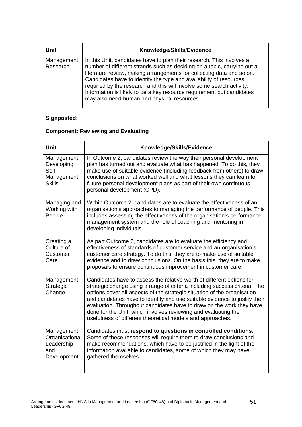| <b>Unit</b>            | Knowledge/Skills/Evidence                                                                                                                                                                                                                                                                                                                                                                                                                                                                       |  |  |
|------------------------|-------------------------------------------------------------------------------------------------------------------------------------------------------------------------------------------------------------------------------------------------------------------------------------------------------------------------------------------------------------------------------------------------------------------------------------------------------------------------------------------------|--|--|
| Management<br>Research | In this Unit, candidates have to plan their research. This involves a<br>number of different strands such as deciding on a topic, carrying out a<br>literature review, making arrangements for collecting data and so on.<br>Candidates have to identify the type and availability of resources<br>required by the research and this will involve some search activity.<br>Information is likely to be a key resource requirement but candidates<br>may also need human and physical resources. |  |  |

## **Signposted:**

## **Component: Reviewing and Evaluating**

| <b>Unit</b>                                                       | Knowledge/Skills/Evidence                                                                                                                                                                                                                                                                                                                                                                                                                                                                                             |  |
|-------------------------------------------------------------------|-----------------------------------------------------------------------------------------------------------------------------------------------------------------------------------------------------------------------------------------------------------------------------------------------------------------------------------------------------------------------------------------------------------------------------------------------------------------------------------------------------------------------|--|
| Management:<br>Developing<br>Self<br>Management<br><b>Skills</b>  | In Outcome 2, candidates review the way their personal development<br>plan has turned out and evaluate what has happened. To do this, they<br>make use of suitable evidence (including feedback from others) to draw<br>conclusions on what worked well and what lessons they can learn for<br>future personal development plans as part of their own continuous<br>personal development (CPD).                                                                                                                       |  |
| Managing and<br>Working with<br>People                            | Within Outcome 2, candidates are to evaluate the effectiveness of an<br>organisation's approaches to managing the performance of people. This<br>includes assessing the effectiveness of the organisation's performance<br>management system and the role of coaching and mentoring in<br>developing individuals.                                                                                                                                                                                                     |  |
| Creating a<br>Culture of<br>Customer<br>Care                      | As part Outcome 2, candidates are to evaluate the efficiency and<br>effectiveness of standards of customer service and an organisation's<br>customer care strategy. To do this, they are to make use of suitable<br>evidence and to draw conclusions. On the basis this, they are to make<br>proposals to ensure continuous improvement in customer care.                                                                                                                                                             |  |
| Management:<br>Strategic<br>Change                                | Candidates have to assess the relative worth of different options for<br>strategic change using a range of criteria including success criteria. The<br>options cover all aspects of the strategic situation of the organisation<br>and candidates have to identify and use suitable evidence to justify their<br>evaluation. Throughout candidates have to draw on the work they have<br>done for the Unit, which involves reviewing and evaluating the<br>usefulness of different theoretical models and approaches. |  |
| Management:<br>Organisational<br>Leadership<br>and<br>Development | Candidates must respond to questions in controlled conditions.<br>Some of these responses will require them to draw conclusions and<br>make recommendations, which have to be justified in the light of the<br>information available to candidates, some of which they may have<br>gathered themselves.                                                                                                                                                                                                               |  |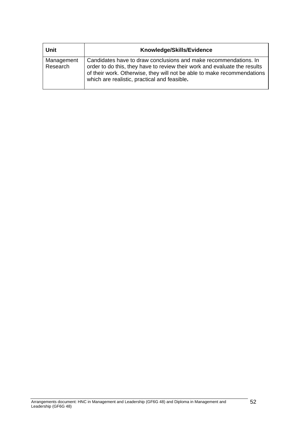| Unit                   | Knowledge/Skills/Evidence                                                                                                                                                                                                                                                |  |  |
|------------------------|--------------------------------------------------------------------------------------------------------------------------------------------------------------------------------------------------------------------------------------------------------------------------|--|--|
| Management<br>Research | Candidates have to draw conclusions and make recommendations. In<br>order to do this, they have to review their work and evaluate the results<br>of their work. Otherwise, they will not be able to make recommendations<br>which are realistic, practical and feasible. |  |  |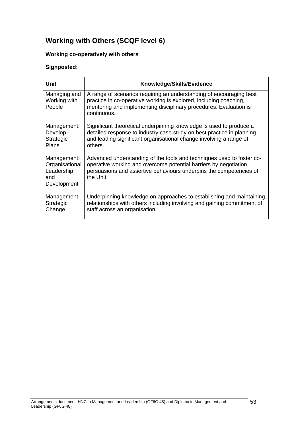## **Working with Others (SCQF level 6)**

## **Working co-operatively with others**

| <b>Unit</b>                                                       | Knowledge/Skills/Evidence                                                                                                                                                                                                     |  |  |
|-------------------------------------------------------------------|-------------------------------------------------------------------------------------------------------------------------------------------------------------------------------------------------------------------------------|--|--|
| Managing and<br>Working with<br>People                            | A range of scenarios requiring an understanding of encouraging best<br>practice in co-operative working is explored, including coaching,<br>mentoring and implementing disciplinary procedures. Evaluation is<br>continuous.  |  |  |
| Management:<br>Develop<br>Strategic<br><b>Plans</b>               | Significant theoretical underpinning knowledge is used to produce a<br>detailed response to industry case study on best practice in planning<br>and leading significant organisational change involving a range of<br>others. |  |  |
| Management:<br>Organisational<br>Leadership<br>and<br>Development | Advanced understanding of the tools and techniques used to foster co-<br>operative working and overcome potential barriers by negotiation,<br>persuasions and assertive behaviours underpins the competencies of<br>the Unit. |  |  |
| Management:<br>Strategic<br>Change                                | Underpinning knowledge on approaches to establishing and maintaining<br>relationships with others including involving and gaining commitment of<br>staff across an organisation.                                              |  |  |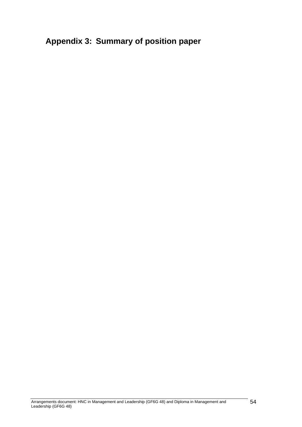# **Appendix 3: Summary of position paper**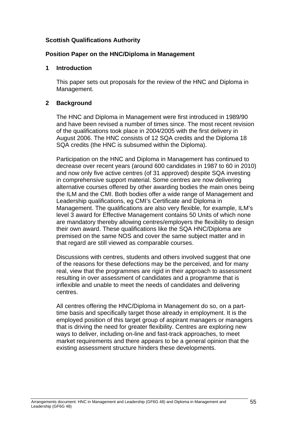### **Scottish Qualifications Authority**

#### **Position Paper on the HNC/Diploma in Management**

#### **1 Introduction**

This paper sets out proposals for the review of the HNC and Diploma in Management.

#### **2 Background**

The HNC and Diploma in Management were first introduced in 1989/90 and have been revised a number of times since. The most recent revision of the qualifications took place in 2004/2005 with the first delivery in August 2006. The HNC consists of 12 SQA credits and the Diploma 18 SQA credits (the HNC is subsumed within the Diploma).

Participation on the HNC and Diploma in Management has continued to decrease over recent years (around 600 candidates in 1987 to 60 in 2010) and now only five active centres (of 31 approved) despite SQA investing in comprehensive support material. Some centres are now delivering alternative courses offered by other awarding bodies the main ones being the ILM and the CMI. Both bodies offer a wide range of Management and Leadership qualifications, eg CMI's Certificate and Diploma in Management. The qualifications are also very flexible, for example, ILM's level 3 award for Effective Management contains 50 Units of which none are mandatory thereby allowing centres/employers the flexibility to design their own award. These qualifications like the SQA HNC/Diploma are premised on the same NOS and cover the same subject matter and in that regard are still viewed as comparable courses.

Discussions with centres, students and others involved suggest that one of the reasons for these defections may be the perceived, and for many real, view that the programmes are rigid in their approach to assessment resulting in over assessment of candidates and a programme that is inflexible and unable to meet the needs of candidates and delivering centres.

All centres offering the HNC/Diploma in Management do so, on a parttime basis and specifically target those already in employment. It is the employed position of this target group of aspirant managers or managers that is driving the need for greater flexibility. Centres are exploring new ways to deliver, including on-line and fast-track approaches, to meet market requirements and there appears to be a general opinion that the existing assessment structure hinders these developments.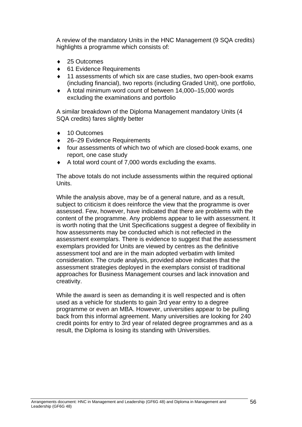A review of the mandatory Units in the HNC Management (9 SQA credits) highlights a programme which consists of:

- ◆ 25 Outcomes
- 61 Evidence Requirements
- 11 assessments of which six are case studies, two open-book exams (including financial), two reports (including Graded Unit), one portfolio,
- ◆ A total minimum word count of between 14,000-15,000 words excluding the examinations and portfolio

A similar breakdown of the Diploma Management mandatory Units (4 SQA credits) fares slightly better

- ◆ 10 Outcomes
- 26–29 Evidence Requirements
- four assessments of which two of which are closed-book exams, one report, one case study
- A total word count of 7,000 words excluding the exams.

The above totals do not include assessments within the required optional Units.

While the analysis above, may be of a general nature, and as a result, subject to criticism it does reinforce the view that the programme is over assessed. Few, however, have indicated that there are problems with the content of the programme. Any problems appear to lie with assessment. It is worth noting that the Unit Specifications suggest a degree of flexibility in how assessments may be conducted which is not reflected in the assessment exemplars. There is evidence to suggest that the assessment exemplars provided for Units are viewed by centres as the definitive assessment tool and are in the main adopted verbatim with limited consideration. The crude analysis, provided above indicates that the assessment strategies deployed in the exemplars consist of traditional approaches for Business Management courses and lack innovation and creativity.

While the award is seen as demanding it is well respected and is often used as a vehicle for students to gain 3rd year entry to a degree programme or even an MBA. However, universities appear to be pulling back from this informal agreement. Many universities are looking for 240 credit points for entry to 3rd year of related degree programmes and as a result, the Diploma is losing its standing with Universities.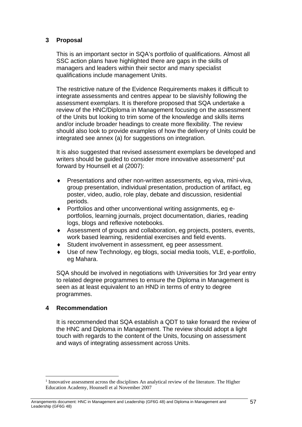### **3 Proposal**

This is an important sector in SQA's portfolio of qualifications. Almost all SSC action plans have highlighted there are gaps in the skills of managers and leaders within their sector and many specialist qualifications include management Units.

The restrictive nature of the Evidence Requirements makes it difficult to integrate assessments and centres appear to be slavishly following the assessment exemplars. It is therefore proposed that SQA undertake a review of the HNC/Diploma in Management focusing on the assessment of the Units but looking to trim some of the knowledge and skills items and/or include broader headings to create more flexibility. The review should also look to provide examples of how the delivery of Units could be integrated see annex (a) for suggestions on integration.

It is also suggested that revised assessment exemplars be developed and writers should be quided to consider more innovative assessment<sup>1</sup> put forward by Hounsell et al (2007):

- Presentations and other non-written assessments, eg viva, mini-viva, group presentation, individual presentation, production of artifact, eg poster, video, audio, role play, debate and discussion, residential periods.
- Portfolios and other unconventional writing assignments, eg eportfolios, learning journals, project documentation, diaries, reading logs, blogs and reflexive notebooks.
- Assessment of groups and collaboration, eg projects, posters, events, work based learning, residential exercises and field events.
- Student involvement in assessment, eg peer assessment.
- Use of new Technology, eg blogs, social media tools, VLE, e-portfolio, eg Mahara.

SQA should be involved in negotiations with Universities for 3rd year entry to related degree programmes to ensure the Diploma in Management is seen as at least equivalent to an HND in terms of entry to degree programmes.

### **4 Recommendation**

It is recommended that SQA establish a QDT to take forward the review of the HNC and Diploma in Management. The review should adopt a light touch with regards to the content of the Units, focusing on assessment and ways of integrating assessment across Units.

<sup>&</sup>lt;sup>1</sup> Innovative assessment across the disciplines An analytical review of the literature. The Higher Education Academy, Hounsell et al November 2007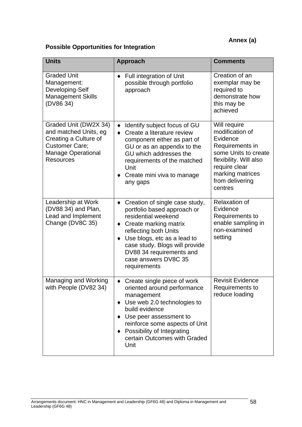## **Annex (a)**

## **Possible Opportunities for Integration**

| <b>Units</b>                                                                                                                                      | <b>Approach</b>                                                                                                                                                                                                                                                                  | <b>Comments</b>                                                                                                                                                                     |
|---------------------------------------------------------------------------------------------------------------------------------------------------|----------------------------------------------------------------------------------------------------------------------------------------------------------------------------------------------------------------------------------------------------------------------------------|-------------------------------------------------------------------------------------------------------------------------------------------------------------------------------------|
| <b>Graded Unit</b><br>Management:<br>Developing-Self<br><b>Management Skills</b><br>(DV86 34)                                                     | Full integration of Unit<br>٠<br>possible through portfolio<br>approach                                                                                                                                                                                                          | Creation of an<br>exemplar may be<br>required to<br>demonstrate how<br>this may be<br>achieved                                                                                      |
| Graded Unit (DW2X 34)<br>and matched Units, eg<br>Creating a Culture of<br><b>Customer Care;</b><br><b>Manage Operational</b><br><b>Resources</b> | Identify subject focus of GU<br>Create a literature review<br>$\bullet$<br>component either as part of<br>GU or as an appendix to the<br>GU which addresses the<br>requirements of the matched<br>Unit<br>Create mini viva to manage<br>any gaps                                 | Will require<br>modification of<br>Evidence<br>Requirements in<br>some Units to create<br>flexibility. Will also<br>require clear<br>marking matrices<br>from delivering<br>centres |
| Leadership at Work<br>(DV88 34) and Plan,<br>Lead and Implement<br>Change (DV8C 35)                                                               | Creation of single case study,<br>portfolio based approach or<br>residential weekend<br>Create marking matrix<br>٠<br>reflecting both Units<br>Use blogs, etc as a lead to<br>case study. Blogs will provide<br>DV88 34 requirements and<br>case answers DV8C 35<br>requirements | <b>Relaxation of</b><br>Evidence<br>Requirements to<br>enable sampling in<br>non-examined<br>setting                                                                                |
| <b>Managing and Working</b><br>with People (DV82 34)                                                                                              | Create single piece of work<br>oriented around performance<br>management<br>Use web 2.0 technologies to<br>build evidence<br>Use peer assessment to<br>reinforce some aspects of Unit<br>Possibility of Integrating<br>certain Outcomes with Graded<br>Unit                      | <b>Revisit Evidence</b><br>Requirements to<br>reduce loading                                                                                                                        |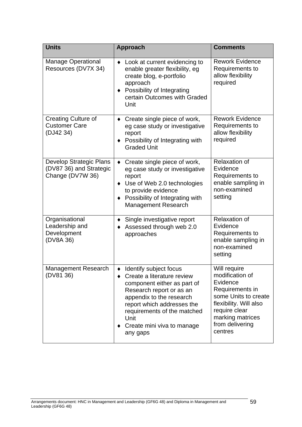| <b>Units</b>                                                           | <b>Approach</b>                                                                                                                                                                                                                                            | <b>Comments</b>                                                                                                                                                                     |
|------------------------------------------------------------------------|------------------------------------------------------------------------------------------------------------------------------------------------------------------------------------------------------------------------------------------------------------|-------------------------------------------------------------------------------------------------------------------------------------------------------------------------------------|
| Manage Operational<br>Resources (DV7X 34)                              | Look at current evidencing to<br>٠<br>enable greater flexibility, eg<br>create blog, e-portfolio<br>approach<br>Possibility of Integrating<br>٠<br>certain Outcomes with Graded<br>Unit                                                                    | <b>Rework Evidence</b><br>Requirements to<br>allow flexibility<br>required                                                                                                          |
| <b>Creating Culture of</b><br><b>Customer Care</b><br>(DJ42 34)        | Create single piece of work,<br>eg case study or investigative<br>report<br>Possibility of Integrating with<br><b>Graded Unit</b>                                                                                                                          | <b>Rework Evidence</b><br>Requirements to<br>allow flexibility<br>required                                                                                                          |
| Develop Strategic Plans<br>(DV87 36) and Strategic<br>Change (DV7W 36) | Create single piece of work,<br>eg case study or investigative<br>report<br>Use of Web 2.0 technologies<br>٠<br>to provide evidence<br>Possibility of Integrating with<br>Management Research                                                              | <b>Relaxation of</b><br>Evidence<br>Requirements to<br>enable sampling in<br>non-examined<br>setting                                                                                |
| Organisational<br>Leadership and<br>Development<br>(DV8A 36)           | Single investigative report<br>Assessed through web 2.0<br>approaches                                                                                                                                                                                      | <b>Relaxation of</b><br>Evidence<br>Requirements to<br>enable sampling in<br>non-examined<br>setting                                                                                |
| Management Research<br>(DV81 36)                                       | Identify subject focus<br>Create a literature review<br>component either as part of<br>Research report or as an<br>appendix to the research<br>report which addresses the<br>requirements of the matched<br>Unit<br>Create mini viva to manage<br>any gaps | Will require<br>modification of<br>Evidence<br>Requirements in<br>some Units to create<br>flexibility. Will also<br>require clear<br>marking matrices<br>from delivering<br>centres |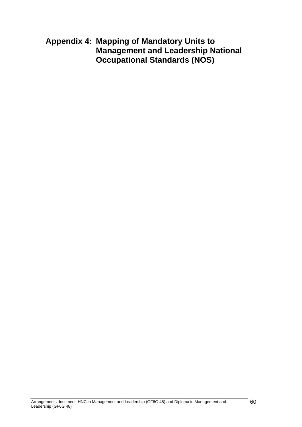**Appendix 4: Mapping of Mandatory Units to Management and Leadership National Occupational Standards (NOS)**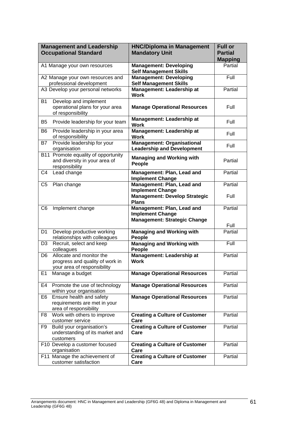|                | <b>Management and Leadership</b><br><b>Occupational Standard</b>                           | <b>HNC/Diploma in Management</b><br><b>Mandatory Unit</b>                                    | <b>Full or</b><br><b>Partial</b><br><b>Mapping</b> |
|----------------|--------------------------------------------------------------------------------------------|----------------------------------------------------------------------------------------------|----------------------------------------------------|
|                | A1 Manage your own resources                                                               | <b>Management: Developing</b><br><b>Self Management Skills</b>                               | Partial                                            |
|                | A2 Manage your own resources and<br>professional development                               | <b>Management: Developing</b><br><b>Self Management Skills</b>                               | Full                                               |
|                | A3 Develop your personal networks                                                          | Management: Leadership at<br><b>Work</b>                                                     | Partial                                            |
| <b>B1</b>      | Develop and implement<br>operational plans for your area<br>of responsibility              | <b>Manage Operational Resources</b>                                                          | Full                                               |
| B <sub>5</sub> | Provide leadership for your team                                                           | Management: Leadership at<br><b>Work</b>                                                     | Full                                               |
| B6             | Provide leadership in your area<br>of responsibility                                       | Management: Leadership at<br><b>Work</b>                                                     | Full                                               |
| B7             | Provide leadership for your<br>organisation                                                | <b>Management: Organisational</b><br><b>Leadership and Development</b>                       | Full                                               |
|                | B11 Promote equality of opportunity<br>and diversity in your area of<br>responsibility     | <b>Managing and Working with</b><br>People                                                   | Partial                                            |
| C4             | Lead change                                                                                | Management: Plan, Lead and<br><b>Implement Change</b>                                        | Partial                                            |
| C <sub>5</sub> | Plan change                                                                                | Management: Plan, Lead and<br><b>Implement Change</b>                                        | Partial                                            |
|                |                                                                                            | <b>Management: Develop Strategic</b><br><b>Plans</b>                                         | Full                                               |
| C <sub>6</sub> | Implement change                                                                           | Management: Plan, Lead and<br><b>Implement Change</b><br><b>Management: Strategic Change</b> | Partial                                            |
|                |                                                                                            |                                                                                              | Full                                               |
| D <sub>1</sub> | Develop productive working<br>relationships with colleagues                                | <b>Managing and Working with</b><br>People                                                   | Partial                                            |
| D <sub>3</sub> | Recruit, select and keep<br>colleagues                                                     | <b>Managing and Working with</b><br>People                                                   | Full                                               |
| D <sub>6</sub> | Allocate and monitor the<br>progress and quality of work in<br>your area of responsibility | Management: Leadership at<br><b>Work</b>                                                     | Partial                                            |
| E1             | Manage a budget                                                                            | <b>Manage Operational Resources</b>                                                          | Partial                                            |
| E4             | Promote the use of technology<br>within your organisation                                  | <b>Manage Operational Resources</b>                                                          | Partial                                            |
| E6             | Ensure health and safety<br>requirements are met in your<br>area of responsibility         | <b>Manage Operational Resources</b>                                                          | Partial                                            |
| F <sub>8</sub> | Work with others to improve<br>customer service                                            | <b>Creating a Culture of Customer</b><br>Care                                                | Partial                                            |
| F <sub>9</sub> | Build your organisation's<br>understanding of its market and<br>customers                  | <b>Creating a Culture of Customer</b><br>Care                                                | Partial                                            |
|                | F10 Develop a customer focused<br>organisation                                             | <b>Creating a Culture of Customer</b><br>Care                                                | Partial                                            |
|                | F11 Manage the achievement of<br>customer satisfaction                                     | <b>Creating a Culture of Customer</b><br>Care                                                | Partial                                            |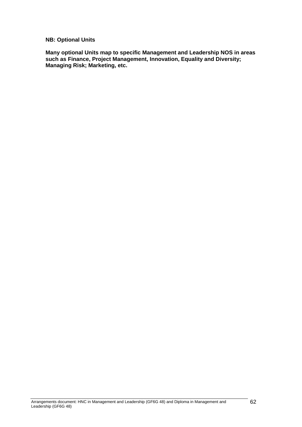#### **NB: Optional Units**

**Many optional Units map to specific Management and Leadership NOS in areas such as Finance, Project Management, Innovation, Equality and Diversity; Managing Risk; Marketing, etc.**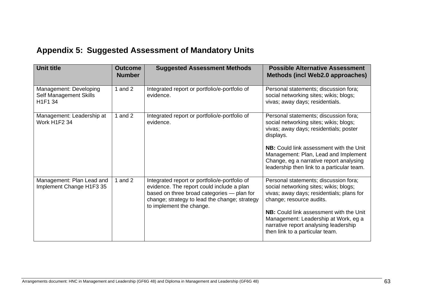## **Appendix 5: Suggested Assessment of Mandatory Units**

| <b>Unit title</b>                                           | <b>Outcome</b><br><b>Number</b> | <b>Suggested Assessment Methods</b>                                                                                                                                                                                   | <b>Possible Alternative Assessment</b><br>Methods (incl Web2.0 approaches)                                                                                                                                                       |
|-------------------------------------------------------------|---------------------------------|-----------------------------------------------------------------------------------------------------------------------------------------------------------------------------------------------------------------------|----------------------------------------------------------------------------------------------------------------------------------------------------------------------------------------------------------------------------------|
| Management: Developing<br>Self Management Skills<br>H1F1 34 | 1 and $2$                       | Integrated report or portfolio/e-portfolio of<br>evidence.                                                                                                                                                            | Personal statements; discussion fora;<br>social networking sites; wikis; blogs;<br>vivas; away days; residentials.                                                                                                               |
| Management: Leadership at<br>Work H1F2 34                   | 1 and $2$                       | Integrated report or portfolio/e-portfolio of<br>evidence.                                                                                                                                                            | Personal statements; discussion fora;<br>social networking sites; wikis; blogs;<br>vivas; away days; residentials; poster<br>displays.<br><b>NB:</b> Could link assessment with the Unit<br>Management: Plan, Lead and Implement |
|                                                             |                                 |                                                                                                                                                                                                                       | Change, eg a narrative report analysing<br>leadership then link to a particular team.                                                                                                                                            |
| Management: Plan Lead and<br>Implement Change H1F3 35       | 1 and $2$                       | Integrated report or portfolio/e-portfolio of<br>evidence. The report could include a plan<br>based on three broad categories - plan for<br>change; strategy to lead the change; strategy<br>to implement the change. | Personal statements; discussion fora;<br>social networking sites; wikis; blogs;<br>vivas; away days; residentials; plans for<br>change; resource audits.                                                                         |
|                                                             |                                 |                                                                                                                                                                                                                       | <b>NB:</b> Could link assessment with the Unit<br>Management: Leadership at Work, eg a<br>narrative report analysing leadership<br>then link to a particular team.                                                               |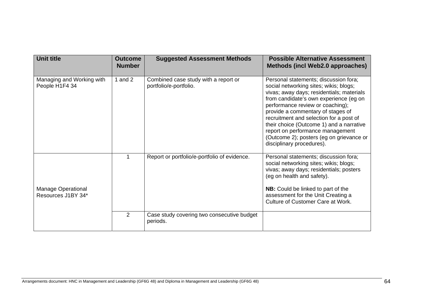| <b>Unit title</b>                               | <b>Outcome</b><br><b>Number</b> | <b>Suggested Assessment Methods</b>                            | <b>Possible Alternative Assessment</b><br>Methods (incl Web2.0 approaches)                                                                                                                                                                                                                                                                                                                                                                          |
|-------------------------------------------------|---------------------------------|----------------------------------------------------------------|-----------------------------------------------------------------------------------------------------------------------------------------------------------------------------------------------------------------------------------------------------------------------------------------------------------------------------------------------------------------------------------------------------------------------------------------------------|
| Managing and Working with<br>People H1F4 34     | 1 and $2$                       | Combined case study with a report or<br>portfolio/e-portfolio. | Personal statements; discussion fora;<br>social networking sites; wikis; blogs;<br>vivas; away days; residentials; materials<br>from candidate's own experience (eg on<br>performance review or coaching);<br>provide a commentary of stages of<br>recruitment and selection for a post of<br>their choice (Outcome 1) and a narrative<br>report on performance management<br>(Outcome 2); posters (eg on grievance or<br>disciplinary procedures). |
| <b>Manage Operational</b><br>Resources J1BY 34* |                                 | Report or portfolio/e-portfolio of evidence.                   | Personal statements; discussion fora;<br>social networking sites; wikis; blogs;<br>vivas; away days; residentials; posters<br>(eg on health and safety).<br>NB: Could be linked to part of the<br>assessment for the Unit Creating a<br>Culture of Customer Care at Work.                                                                                                                                                                           |
|                                                 | $\overline{2}$                  | Case study covering two consecutive budget<br>periods.         |                                                                                                                                                                                                                                                                                                                                                                                                                                                     |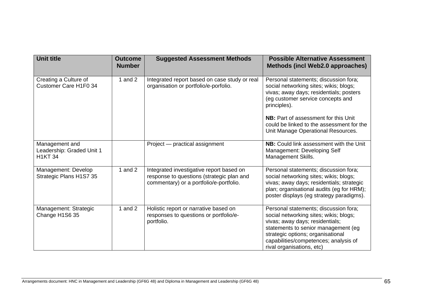| <b>Unit title</b>                                             | <b>Outcome</b><br><b>Number</b> | <b>Suggested Assessment Methods</b>                                                                                              | <b>Possible Alternative Assessment</b><br><b>Methods (incl Web2.0 approaches)</b>                                                                                                                                                                                    |
|---------------------------------------------------------------|---------------------------------|----------------------------------------------------------------------------------------------------------------------------------|----------------------------------------------------------------------------------------------------------------------------------------------------------------------------------------------------------------------------------------------------------------------|
| Creating a Culture of<br>Customer Care H1F0 34                | 1 and $2$                       | Integrated report based on case study or real<br>organisation or portfolio/e-porfolio.                                           | Personal statements; discussion fora;<br>social networking sites; wikis; blogs;<br>vivas; away days; residentials; posters<br>(eg customer service concepts and<br>principles).                                                                                      |
|                                                               |                                 |                                                                                                                                  | <b>NB:</b> Part of assessment for this Unit<br>could be linked to the assessment for the<br>Unit Manage Operational Resources.                                                                                                                                       |
| Management and<br>Leadership: Graded Unit 1<br><b>H1KT 34</b> |                                 | Project — practical assignment                                                                                                   | <b>NB:</b> Could link assessment with the Unit<br>Management: Developing Self<br>Management Skills.                                                                                                                                                                  |
| Management: Develop<br>Strategic Plans H1S7 35                | 1 and $2$                       | Integrated investigative report based on<br>response to questions (strategic plan and<br>commentary) or a portfolio/e-portfolio. | Personal statements; discussion fora;<br>social networking sites; wikis; blogs;<br>vivas; away days; residentials; strategic<br>plan; organisational audits (eg for HRM);<br>poster displays (eg strategy paradigms).                                                |
| Management: Strategic<br>Change H1S6 35                       | 1 and $2$                       | Holistic report or narrative based on<br>responses to questions or portfolio/e-<br>portfolio.                                    | Personal statements; discussion fora;<br>social networking sites; wikis; blogs;<br>vivas; away days; residentials;<br>statements to senior management (eg<br>strategic options; organisational<br>capabilities/competences; analysis of<br>rival organisations, etc) |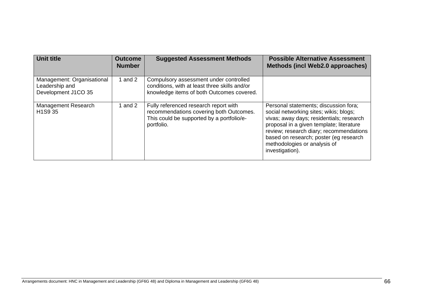| <b>Unit title</b>                                                   | <b>Outcome</b><br><b>Number</b> | <b>Suggested Assessment Methods</b>                                                                                                         | <b>Possible Alternative Assessment</b><br>Methods (incl Web2.0 approaches)                                                                                                                                                                                                                                      |
|---------------------------------------------------------------------|---------------------------------|---------------------------------------------------------------------------------------------------------------------------------------------|-----------------------------------------------------------------------------------------------------------------------------------------------------------------------------------------------------------------------------------------------------------------------------------------------------------------|
| Management: Organisational<br>Leadership and<br>Development J1CO 35 | 1 and $2$                       | Compulsory assessment under controlled<br>conditions, with at least three skills and/or<br>knowledge items of both Outcomes covered.        |                                                                                                                                                                                                                                                                                                                 |
| Management Research<br>H <sub>1</sub> S <sub>9</sub> 35             | 1 and $2$                       | Fully referenced research report with<br>recommendations covering both Outcomes.<br>This could be supported by a portfolio/e-<br>portfolio. | Personal statements; discussion fora;<br>social networking sites; wikis; blogs;<br>vivas; away days; residentials; research<br>proposal in a given template; literature<br>review; research diary; recommendations<br>based on research; poster (eg research<br>methodologies or analysis of<br>investigation). |